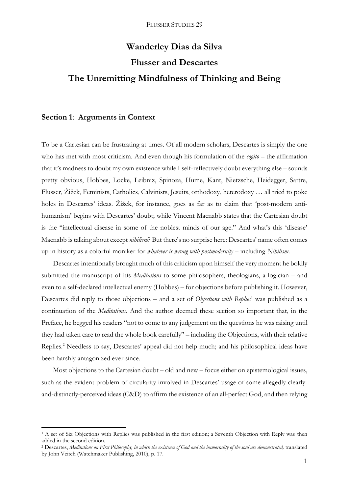# **Wanderley Dias da Silva Flusser and Descartes The Unremitting Mindfulness of Thinking and Being**

### **Section 1**: **Arguments in Context**

1

To be a Cartesian can be frustrating at times. Of all modern scholars, Descartes is simply the one who has met with most criticism. And even though his formulation of the *cogito* – the affirmation that it's madness to doubt my own existence while I self-reflectively doubt everything else – sounds pretty obvious, Hobbes, Locke, Leibniz, Spinoza, Hume, Kant, Nietzsche, Heidegger, Sartre, Flusser, Žižek, Feminists, Catholics, Calvinists, Jesuits, orthodoxy, heterodoxy … all tried to poke holes in Descartes' ideas. Žižek, for instance, goes as far as to claim that 'post-modern antihumanism' begins with Descartes' doubt; while Vincent Macnabb states that the Cartesian doubt is the "intellectual disease in some of the noblest minds of our age." And what's this 'disease' Macnabb is talking about except *nihilism*? But there's no surprise here: Descartes' name often comes up in history as a colorful moniker for *whatever is wrong with postmodernity* – including *Nihilism*.

Descartes intentionally brought much of this criticism upon himself the very moment he boldly submitted the manuscript of his *Meditations* to some philosophers, theologians, a logician – and even to a self-declared intellectual enemy (Hobbes) – for objections before publishing it. However, Descartes did reply to those objections – and a set of *Objections with Replies*<sup>1</sup> was published as a continuation of the *Meditations*. And the author deemed these section so important that, in the Preface, he begged his readers "not to come to any judgement on the questions he was raising until they had taken care to read the whole book carefully" – including the Objections, with their relative Replies.<sup>2</sup> Needless to say, Descartes' appeal did not help much; and his philosophical ideas have been harshly antagonized ever since.

Most objections to the Cartesian doubt – old and new – focus either on epistemological issues, such as the evident problem of circularity involved in Descartes' usage of some allegedly clearlyand-distinctly-perceived ideas (C&D) to affirm the existence of an all-perfect God, and then relying

<sup>&</sup>lt;sup>1</sup> A set of Six Objections with Replies was published in the first edition; a Seventh Objection with Reply was then added in the second edition.

<sup>2</sup> Descartes, *Meditations on First Philosophy, in which the existence of God and the immortality of the soul are demonstrated,* translated by John Veitch (Watchmaker Publishing, 2010), p. 17.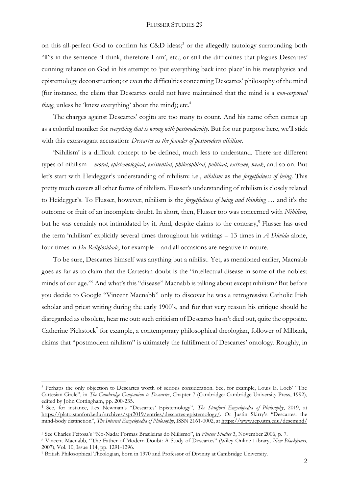on this all-perfect God to confirm his C&D ideas;<sup>3</sup> or the allegedly tautology surrounding both "**I**"s in the sentence '**I** think, therefore **I** am', etc.; or still the difficulties that plagues Descartes' cunning reliance on God in his attempt to 'put everything back into place' in his metaphysics and epistemology deconstruction; or even the difficulties concerning Descartes' philosophy of the mind (for instance, the claim that Descartes could not have maintained that the mind is a *non-corporeal thing*, unless he 'knew everything' about the mind); etc.<sup>4</sup>

The charges against Descartes' cogito are too many to count. And his name often comes up as a colorful moniker for *everything that is wrong with postmodernity*. But for our purpose here, we'll stick with this extravagant accusation: *Descartes as the founder of postmodern nihilism*.

'Nihilism' is a difficult concept to be defined, much less to understand. There are different types of nihilism – *moral*, *epistemological*, *existential*, *philosophical*, *political*, *extreme*, *weak*, and so on. But let's start with Heidegger's understanding of nihilism: i.e., *nihilism* as the *forgetfulness of being*. This pretty much covers all other forms of nihilism. Flusser's understanding of nihilism is closely related to Heidegger's. To Flusser, however, nihilism is the *forgetfulness of being and thinking* … and it's the outcome or fruit of an incomplete doubt. In short, then, Flusser too was concerned with *Nihilism*, but he was certainly not intimidated by it. And, despite claims to the contrary,<sup>5</sup> Flusser has used the term 'nihilism' explicitly several times throughout his writings – 13 times in *A Dúvida* alone, four times in *Da Religiosidade*, for example – and all occasions are negative in nature.

To be sure, Descartes himself was anything but a nihilist. Yet, as mentioned earlier, Macnabb goes as far as to claim that the Cartesian doubt is the "intellectual disease in some of the noblest minds of our age."<sup>6</sup> And what's this "disease" Macnabb is talking about except nihilism? But before you decide to Google "Vincent Macnabb" only to discover he was a retrogressive Catholic Irish scholar and priest writing during the early 1900's, and for that very reason his critique should be disregarded as obsolete, hear me out: such criticism of Descartes hasn't died out, quite the opposite. Catherine Pickstock<sup>7</sup> for example, a contemporary philosophical theologian, follower of Milbank, claims that "postmodern nihilism" is ultimately the fulfillment of Descartes' ontology. Roughly, in

<sup>3</sup> Perhaps the only objection to Descartes worth of serious consideration. See, for example, Louis E. Loeb' "The Cartesian Circle", in *The Cambridge Companion to Descartes*, Chapter 7 (Cambridge: Cambridge University Press, 1992), edited by John Cottingham, pp. 200-235.

<sup>4</sup> See, for instance, Lex Newman's "Descartes' Epistemology", *The Stanford Encyclopedia of Philosophy*, 2019, at <https://plato.stanford.edu/archives/spr2019/entries/descartes-epistemology/>. Or Justin Skirry's "Descartes: the mind-body distinction", *The Internet Encyclopedia of Philosophy*, ISSN 2161-0002, at<https://www.iep.utm.edu/descmind/>

<sup>5</sup> See Charles Feitosa's "No-Nada: Formas Brasileiras do Niilismo", in *Flusser Studies* 3, November 2006, p. 7.

<sup>6</sup> Vincent Macnabb, "The Father of Modern Doubt: A Study of Descartes" (Wiley Online Library, *New Blackfriars*, 2007), Vol. 10, Issue 114, pp. 1291-1296.

<sup>7</sup> British Philosophical Theologian, born in 1970 and Professor of Divinity at Cambridge University.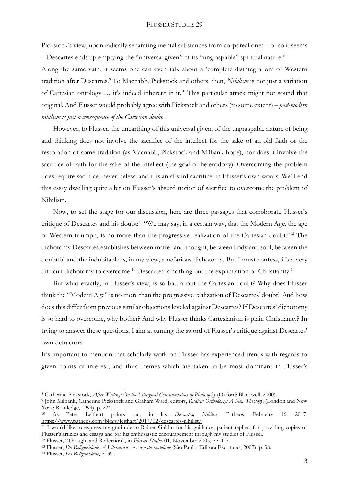Pickstock's view, upon radically separating mental substances from corporeal ones – or so it seems - Descartes ends up emptying the "universal given" of its "ungraspable" spiritual nature.<sup>8</sup>

Along the same vain, it seems one can even talk about a 'complete disintegration' of Western tradition after Descartes.<sup>9</sup> To Macnabb, Pickstock and others, then, *Nihilism* is not just a variation of Cartesian ontology … it's indeed inherent in it. <sup>10</sup> This particular attack might not sound that original. And Flusser would probably agree with Pickstock and others (to some extent) – *post-modern nihilism is just a consequence of the Cartesian doubt*.

However, to Flusser, the unearthing of this universal given, of the ungraspable nature of being and thinking does not involve the sacrifice of the intellect for the sake of an old faith or the restoration of some tradition (as Macnabb, Pickstock and Milbank hope), nor does it involve the sacrifice of faith for the sake of the intellect (the goal of heterodoxy). Overcoming the problem does require sacrifice, nevertheless: and it is an absurd sacrifice, in Flusser's own words. We'll end this essay dwelling quite a bit on Flusser's absurd notion of sacrifice to overcome the problem of Nihilism.

Now, to set the stage for our discussion, here are three passages that corroborate Flusser's critique of Descartes and his doubt:<sup>11</sup> "We may say, in a certain way, that the Modern Age, the age of Western triumph, is no more than the progressive realization of the Cartesian doubt." <sup>12</sup> The dichotomy Descartes establishes between matter and thought, between body and soul, between the doubtful and the indubitable is, in my view, a nefarious dichotomy. But I must confess, it's a very difficult dichotomy to overcome.<sup>13</sup> Descartes is nothing but the explicitation of Christianity.<sup>14</sup>

But what exactly, in Flusser's view, is so bad about the Cartesian doubt? Why does Flusser think the "Modern Age" is no more than the progressive realization of Descartes' doubt? And how does this differ from previous similar objections leveled against Descartes? If Descartes' dichotomy is so hard to overcome, why bother? And why Flusser thinks Cartesianism is plain Christianity? In trying to answer these questions, I aim at turning the sword of Flusser's critique against Descartes' own detractors.

It's important to mention that scholarly work on Flusser has experienced trends with regards to given points of interest; and thus themes which are taken to be most dominant in Flusser's

<sup>8</sup> Catherine Pickstock, *After Writing: On the Liturgical Consummation of Philosophy* (Oxford: Blackwell, 2000).

<sup>9</sup> John Milbank, Catherine Pickstock and Graham Ward, editors, *Radical Orthodoxy: A New Theology*, (London and New York: Routledge, 1999), p. 224.

<sup>10</sup> As Peter Leithart points out, in his *Descartes, Nihilist*, Patheos, February 16, 2017, <https://www.patheos.com/blogs/leithart/2017/02/descartes-nihilist/>

<sup>&</sup>lt;sup>11</sup> I would like to express my gratitude to Rainer Guldin for his guidance, patient replies, for providing copies of Flusser's articles and essays and for his enthusiastic encouragement through my studies of Flusser.

<sup>12</sup> Flusser, "Thought and Reflection", in *Flusser Studies* 01, November 2005, pp. 1-7.

<sup>13</sup> Flusser, *Da Religiosidade: A Literatura e o senso da realidade* (São Paulo: Editora Escrituras, 2002), p. 38.

<sup>14</sup> Flusser, *Da Religiosidade*, p. 39.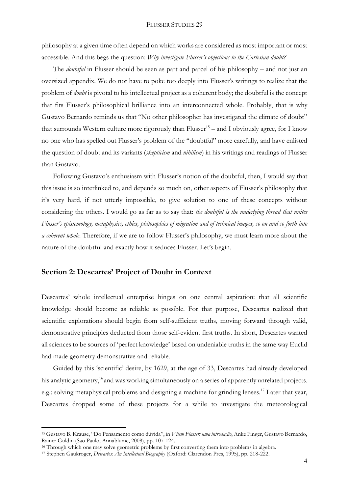philosophy at a given time often depend on which works are considered as most important or most accessible. And this begs the question: *Why investigate Flusser's objections to the Cartesian doubt?*

The *doubtful* in Flusser should be seen as part and parcel of his philosophy – and not just an oversized appendix. We do not have to poke too deeply into Flusser's writings to realize that the problem of *doubt* is pivotal to his intellectual project as a coherent body; the doubtful is the concept that fits Flusser's philosophical brilliance into an interconnected whole. Probably, that is why Gustavo Bernardo reminds us that "No other philosopher has investigated the climate of doubt" that surrounds Western culture more rigorously than  $Flusser<sup>15</sup> -$  and I obviously agree, for I know no one who has spelled out Flusser's problem of the "doubtful" more carefully, and have enlisted the question of doubt and its variants (*skepticism* and *nihilism*) in his writings and readings of Flusser than Gustavo.

Following Gustavo's enthusiasm with Flusser's notion of the doubtful, then, I would say that this issue is so interlinked to, and depends so much on, other aspects of Flusser's philosophy that it's very hard, if not utterly impossible, to give solution to one of these concepts without considering the others. I would go as far as to say that: *the doubtful is the underlying thread that unites Flusser's epistemology, metaphysics, ethics, philosophies of migration and of technical images, so on and so forth into a coherent whole*. Therefore, if we are to follow Flusser's philosophy, we must learn more about the nature of the doubtful and exactly how it seduces Flusser. Let's begin.

# **Section 2: Descartes' Project of Doubt in Context**

1

Descartes' whole intellectual enterprise hinges on one central aspiration: that all scientific knowledge should become as reliable as possible. For that purpose, Descartes realized that scientific explorations should begin from self-sufficient truths, moving forward through valid, demonstrative principles deducted from those self-evident first truths. In short, Descartes wanted all sciences to be sources of 'perfect knowledge' based on undeniable truths in the same way Euclid had made geometry demonstrative and reliable.

Guided by this 'scientific' desire, by 1629, at the age of 33, Descartes had already developed his analytic geometry,<sup>16</sup> and was working simultaneously on a series of apparently unrelated projects. e.g.: solving metaphysical problems and designing a machine for grinding lenses.<sup>17</sup> Later that year, Descartes dropped some of these projects for a while to investigate the meteorological

<sup>15</sup> Gustavo B. Krause, "Do Pensamento como dúvida", in *Vilem Flusser: uma introdução*, Anke Finger, Gustavo Bernardo, Rainer Guldin (São Paulo, Annablume, 2008), pp. 107-124.

<sup>&</sup>lt;sup>16</sup> Through which one may solve geometric problems by first converting them into problems in algebra.

<sup>17</sup> Stephen Gaukroger, *Descartes: An Intellectual Biography* (Oxford: Clarendon Pres, 1995), pp. 218-222.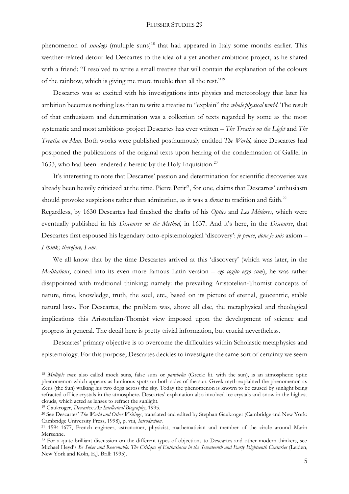phenomenon of *sundogs* (multiple suns) <sup>18</sup> that had appeared in Italy some months earlier. This weather-related detour led Descartes to the idea of a yet another ambitious project, as he shared with a friend: "I resolved to write a small treatise that will contain the explanation of the colours of the rainbow, which is giving me more trouble than all the rest."<sup>19</sup>

Descartes was so excited with his investigations into physics and meteorology that later his ambition becomes nothing less than to write a treatise to "explain" the *whole physical world*. The result of that enthusiasm and determination was a collection of texts regarded by some as the most systematic and most ambitious project Descartes has ever written – *The Treatise on the Light* and *The Treatise on Man*. Both works were published posthumously entitled *The World*, since Descartes had postponed the publications of the original texts upon hearing of the condemnation of Galilei in 1633, who had been rendered a heretic by the Holy Inquisition.<sup>20</sup>

It's interesting to note that Descartes' passion and determination for scientific discoveries was already been heavily criticized at the time. Pierre Petit<sup>21</sup>, for one, claims that Descartes' enthusiasm should provoke suspicions rather than admiration, as it was a *threat* to tradition and faith.<sup>22</sup> Regardless, by 1630 Descartes had finished the drafts of his *Optics* and *Les Météores*, which were eventually published in his *Discourse on the Method*, in 1637. And it's here, in the *Discourse*, that Descartes first espoused his legendary onto-epistemological 'discovery': *je pense*, *donc je suis* axiom – *I think; therefore, I am*.

We all know that by the time Descartes arrived at this 'discovery' (which was later, in the *Meditations*, coined into its even more famous Latin version – *ego cogito ergo sum*), he was rather disappointed with traditional thinking; namely: the prevailing Aristotelian-Thomist concepts of nature, time, knowledge, truth, the soul, etc., based on its picture of eternal, geocentric, stable natural laws. For Descartes, the problem was, above all else, the metaphysical and theological implications this Aristotelian-Thomist view imposed upon the development of science and progress in general. The detail here is pretty trivial information, but crucial nevertheless.

Descartes' primary objective is to overcome the difficulties within Scholastic metaphysics and epistemology. For this purpose, Descartes decides to investigate the same sort of certainty we seem

<sup>19</sup> Gaukroger, *Descartes: An Intellectual Biography*, 1995.

<u>.</u>

<sup>18</sup> *Multiple suns*: also called mock suns, false suns or *parahelia* (Greek: lit. with the sun), is an atmospheric optic phenomenon which appears as luminous spots on both sides of the sun. Greek myth explained the phenomenon as Zeus (the Sun) walking his two dogs across the sky. Today the phenomenon is known to be caused by sunlight being refracted off ice crystals in the atmosphere. Descartes' explanation also involved ice crystals and snow in the highest clouds, which acted as lenses to refract the sunlight.

<sup>20</sup> See Descartes' *The World and Other Writings*, translated and edited by Stephan Gaukroger (Cambridge and New York: Cambridge University Press, 1998), p. viii, *Introduction*.

<sup>21</sup> 1594-1677, French engineer, astronomer, physicist, mathematician and member of the circle around Marin Mersenne.

<sup>&</sup>lt;sup>22</sup> For a quite brilliant discussion on the different types of objections to Descartes and other modern thinkers, see Michael Heyd's *Be Sober and Reasonable: The Critique of Enthusiasm in the Seventeenth and Early Eighteenth Centuries* (Leiden, New York and Koln, E.J. Brill: 1995).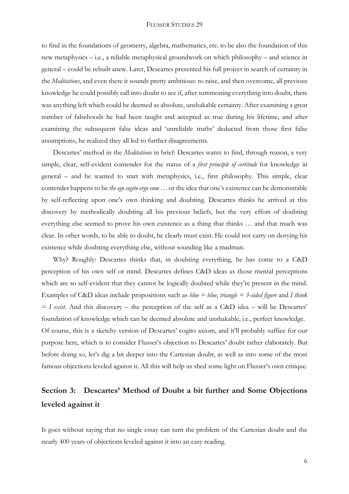to find in the foundations of geometry, algebra, mathematics, etc. to be also the foundation of this new metaphysics – i.e., a reliable metaphysical groundwork on which philosophy – and science in general – could be rebuilt anew. Later, Descartes presented his full project in search of certainty in the *Meditations*, and even there it sounds pretty ambitious: to raise, and then overcome, all previous knowledge he could possibly call into doubt to see if, after summoning everything into doubt, there was anything left which could be deemed as absolute, unshakable certainty. After examining a great number of falsehoods he had been taught and accepted as true during his lifetime, and after examining the subsequent false ideas and 'unreliable truths' deducted from those first false assumptions, he realized they all led to further disagreements.

Descartes' method in the *Meditations* in brief: Descartes wants to find, through reason, a very simple, clear, self-evident contender for the status of a *first principle of certitude* for knowledge in general – and he wanted to start with metaphysics, i.e., first philosophy. This simple, clear contender happens to be *the ego cogito ergo sum* … or the idea that one's existence can be demonstrable by self-reflecting upon one's own thinking and doubting. Descartes thinks he arrived at this discovery by methodically doubting all his previous beliefs, but the very effort of doubting everything else seemed to prove his own existence as a thing that thinks … and that much was clear. In other words, to be able to doubt, he clearly must exist. He could not carry on denying his existence while doubting everything else, without sounding like a madman.

Why? Roughly: Descartes thinks that, in doubting everything, he has come to a C&D perception of his own self or mind. Descartes defines C&D ideas as those mental perceptions which are so self-evident that they cannot be logically doubted while they're present in the mind. Examples of C&D ideas include propositions such as *blue = blue*, *triangle = 3-sided figure* and *I think = I exist*. And this discovery – the perception of the self as a C&D idea – will be Descartes' foundation of knowledge which can be deemed absolute and unshakable, i.e., perfect knowledge. Of course, this is a sketchy version of Descartes' cogito axiom, and it'll probably suffice for our purpose here, which is to consider Flusser's objection to Descartes' doubt rather elaborately. But before doing so, let's dig a bit deeper into the Cartesian doubt, as well as into some of the most famous objections leveled against it. All this will help us shed some light on Flusser's own critique.

# **Section 3: Descartes' Method of Doubt a bit further and Some Objections leveled against it**

It goes without saying that no single essay can turn the problem of the Cartesian doubt and the nearly 400 years of objections leveled against it into an easy reading.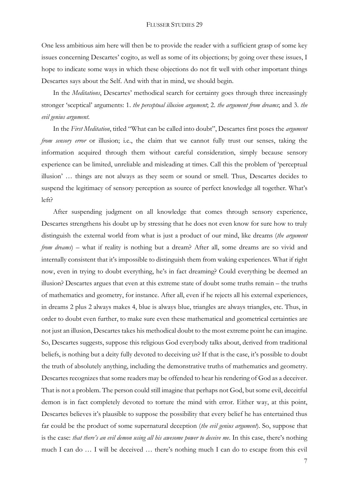One less ambitious aim here will then be to provide the reader with a sufficient grasp of some key issues concerning Descartes' cogito, as well as some of its objections; by going over these issues, I hope to indicate some ways in which these objections do not fit well with other important things Descartes says about the Self. And with that in mind, we should begin.

In the *Meditations*, Descartes' methodical search for certainty goes through three increasingly stronger 'sceptical' arguments: 1. *the perceptual illusion argument*; 2. *the argument from dreams*; and 3. *the evil genius argument*.

In the *First Meditation*, titled "What can be called into doubt", Descartes first poses the *argument from sensory error* or illusion; i.e., the claim that we cannot fully trust our senses, taking the information acquired through them without careful consideration, simply because sensory experience can be limited, unreliable and misleading at times. Call this the problem of 'perceptual illusion' … things are not always as they seem or sound or smell. Thus, Descartes decides to suspend the legitimacy of sensory perception as source of perfect knowledge all together. What's left?

After suspending judgment on all knowledge that comes through sensory experience, Descartes strengthens his doubt up by stressing that he does not even know for sure how to truly distinguish the external world from what is just a product of our mind, like dreams (*the argument from dreams*) – what if reality is nothing but a dream? After all, some dreams are so vivid and internally consistent that it's impossible to distinguish them from waking experiences. What if right now, even in trying to doubt everything, he's in fact dreaming? Could everything be deemed an illusion? Descartes argues that even at this extreme state of doubt some truths remain – the truths of mathematics and geometry, for instance. After all, even if he rejects all his external experiences, in dreams 2 plus 2 always makes 4, blue is always blue, triangles are always triangles, etc. Thus, in order to doubt even further, to make sure even these mathematical and geometrical certainties are not just an illusion, Descartes takes his methodical doubt to the most extreme point he can imagine. So, Descartes suggests, suppose this religious God everybody talks about, derived from traditional beliefs, is nothing but a deity fully devoted to deceiving us? If that is the case, it's possible to doubt the truth of absolutely anything, including the demonstrative truths of mathematics and geometry. Descartes recognizes that some readers may be offended to hear his rendering of God as a deceiver. That is not a problem. The person could still imagine that perhaps not God, but some evil, deceitful demon is in fact completely devoted to torture the mind with error. Either way, at this point, Descartes believes it's plausible to suppose the possibility that every belief he has entertained thus far could be the product of some supernatural deception (*the evil genius argument*). So, suppose that is the case: *that there's an evil demon using all his awesome power to deceive me*. In this case, there's nothing much I can do … I will be deceived … there's nothing much I can do to escape from this evil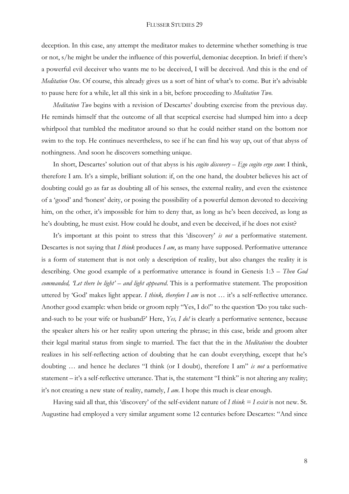deception. In this case, any attempt the meditator makes to determine whether something is true or not, s/he might be under the influence of this powerful, demoniac deception. In brief: if there's a powerful evil deceiver who wants me to be deceived, I will be deceived. And this is the end of *Meditation One*. Of course, this already gives us a sort of hint of what's to come. But it's advisable to pause here for a while, let all this sink in a bit, before proceeding to *Meditation Two*.

*Meditation Two* begins with a revision of Descartes' doubting exercise from the previous day. He reminds himself that the outcome of all that sceptical exercise had slumped him into a deep whirlpool that tumbled the meditator around so that he could neither stand on the bottom nor swim to the top. He continues nevertheless, to see if he can find his way up, out of that abyss of nothingness. And soon he discovers something unique.

In short, Descartes' solution out of that abyss is his *cogito discovery* – *Ego cogito ergo sum*: I think, therefore I am. It's a simple, brilliant solution: if, on the one hand, the doubter believes his act of doubting could go as far as doubting all of his senses, the external reality, and even the existence of a 'good' and 'honest' deity, or posing the possibility of a powerful demon devoted to deceiving him, on the other, it's impossible for him to deny that, as long as he's been deceived, as long as he's doubting, he must exist. How could he doubt, and even be deceived, if he does not exist?

It's important at this point to stress that this 'discovery' *is not* a performative statement. Descartes is not saying that *I think* produces *I am*, as many have supposed. Performative utterance is a form of statement that is not only a description of reality, but also changes the reality it is describing. One good example of a performative utterance is found in Genesis 1:3 – *Then God commanded, 'Let there be light' – and light appeared*. This is a performative statement. The proposition uttered by 'God' makes light appear. *I think, therefore I am* is not … it's a self-reflective utterance. Another good example: when bride or groom reply "Yes, I do!" to the question 'Do you take suchand-such to be your wife or husband?' Here, *Yes, I do!* is clearly a performative sentence, because the speaker alters his or her reality upon uttering the phrase; in this case, bride and groom alter their legal marital status from single to married. The fact that the in the *Meditations* the doubter realizes in his self-reflecting action of doubting that he can doubt everything, except that he's doubting … and hence he declares "I think (or I doubt), therefore I am" *is not* a performative statement – it's a self-reflective utterance. That is, the statement "I think" is not altering any reality; it's not creating a new state of reality, namely, *I am*. I hope this much is clear enough.

Having said all that, this 'discovery' of the self-evident nature of *I think = I exist* is not new. St. Augustine had employed a very similar argument some 12 centuries before Descartes: "And since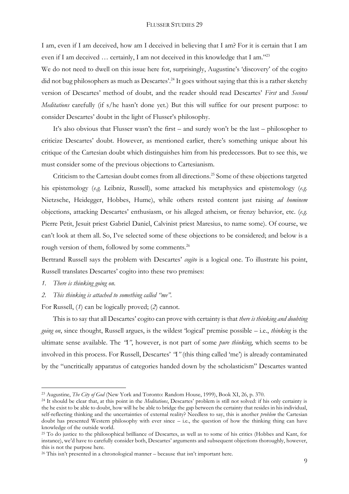I am, even if I am deceived, how am I deceived in believing that I am? For it is certain that I am even if I am deceived ... certainly, I am not deceived in this knowledge that I am."23

We do not need to dwell on this issue here for, surprisingly, Augustine's 'discovery' of the cogito did not bug philosophers as much as Descartes'. <sup>24</sup> It goes without saying that this is a rather sketchy version of Descartes' method of doubt, and the reader should read Descartes' *First* and *Second Meditations* carefully (if s/he hasn't done yet.) But this will suffice for our present purpose: to consider Descartes' doubt in the light of Flusser's philosophy.

It's also obvious that Flusser wasn't the first – and surely won't be the last – philosopher to criticize Descartes' doubt. However, as mentioned earlier, there's something unique about his critique of the Cartesian doubt which distinguishes him from his predecessors. But to see this, we must consider some of the previous objections to Cartesianism.

Criticism to the Cartesian doubt comes from all directions. <sup>25</sup> Some of these objections targeted his epistemology (*e.g.* Leibniz, Russell), some attacked his metaphysics and epistemology (*e.g.* Nietzsche, Heidegger, Hobbes, Hume), while others rested content just raising *ad hominem* objections, attacking Descartes' enthusiasm, or his alleged atheism, or frenzy behavior, etc. (*e.g.* Pierre Petit, Jesuit priest Gabriel Daniel, Calvinist priest Maresius, to name some). Of course, we can't look at them all. So, I've selected some of these objections to be considered; and below is a rough version of them, followed by some comments.<sup>26</sup>

Bertrand Russell says the problem with Descartes' *cogito* is a logical one. To illustrate his point, Russell translates Descartes' cogito into these two premises:

*1. There is thinking going on.*

1

*2. This thinking is attached to something called "me".*

For Russell, (*1*) can be logically proved; (*2*) cannot.

This is to say that all Descartes' cogito can prove with certainty is that *there is thinking and doubting going on*, since thought, Russell argues, is the wildest 'logical' premise possible – i.e., *thinking* is the ultimate sense available. The *"*I*"*, however, is not part of some *pure thinking*, which seems to be involved in this process. For Russell, Descartes' *"*I*"* (this thing called 'me') is already contaminated by the "uncritically apparatus of categories handed down by the scholasticism" Descartes wanted

<sup>23</sup> Augustine, *The City of God* (New York and Toronto: Random House, 1999), Book XI, 26, p. 370.

<sup>24</sup> It should be clear that, at this point in the *Meditations*, Descartes' problem is still not solved: if his only certainty is the he exist to be able to doubt, how will he be able to bridge the gap between the certainty that resides in his individual, self-reflecting thinking and the uncertainties of external reality? Needless to say, this is another *problem* the Cartesian doubt has presented Western philosophy with ever since – i.e., the question of how the thinking thing can have knowledge of the outside world.

<sup>&</sup>lt;sup>25</sup> To do justice to the philosophical brilliance of Descartes, as well as to some of his critics (Hobbes and Kant, for instance), we'd have to carefully consider both, Descartes' arguments and subsequent objections thoroughly, however, this is not the purpose here.

<sup>&</sup>lt;sup>26</sup> This isn't presented in a chronological manner – because that isn't important here.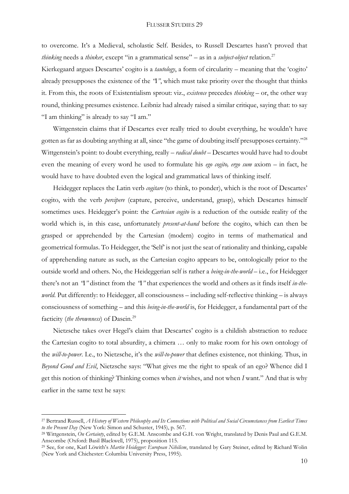to overcome. It's a Medieval, scholastic Self. Besides, to Russell Descartes hasn't proved that *thinking* needs a *thinker*, except "in a grammatical sense" – as in a *subject-object* relation.<sup>27</sup>

Kierkegaard argues Descartes' cogito is a *tautology*, a form of circularity – meaning that the 'cogito' already presupposes the existence of the *"*I*"*, which must take priority over the thought that thinks it. From this, the roots of Existentialism sprout: viz., *existence* precedes *thinking* – or, the other way round, thinking presumes existence. Leibniz had already raised a similar critique, saying that: to say "I am thinking" is already to say "I am."

Wittgenstein claims that if Descartes ever really tried to doubt everything, he wouldn't have gotten as far as doubting anything at all, since "the game of doubting itself presupposes certainty."<sup>28</sup> Wittgenstein's point: to doubt everything, really – *radical doubt* – Descartes would have had to doubt even the meaning of every word he used to formulate his *ego cogito, ergo sum* axiom – in fact, he would have to have doubted even the logical and grammatical laws of thinking itself.

Heidegger replaces the Latin verb *cogitare* (to think, to ponder), which is the root of Descartes' cogito, with the verb *percipere* (capture, perceive, understand, grasp), which Descartes himself sometimes uses. Heidegger's point: the *Cartesian cogito* is a reduction of the outside reality of the world which is, in this case, unfortunately *present-at-hand* before the cogito, which can then be grasped or apprehended by the Cartesian (modern) cogito in terms of mathematical and geometrical formulas. To Heidegger, the 'Self' is not just the seat of rationality and thinking, capable of apprehending nature as such, as the Cartesian cogito appears to be, ontologically prior to the outside world and others. No, the Heideggerian self is rather a *being-in-the-world* – i.e., for Heidegger there's not an *"*I*"* distinct from the *"*I*"* that experiences the world and others as it finds itself *in-theworld*. Put differently: to Heidegger, all consciousness – including self-reflective thinking – is always consciousness of something – and this *being-in-the-world* is, for Heidegger, a fundamental part of the facticity (the thrownness) of Dasein.<sup>29</sup>

Nietzsche takes over Hegel's claim that Descartes' cogito is a childish abstraction to reduce the Cartesian cogito to total absurdity, a chimera … only to make room for his own ontology of the *will-to-power*. I.e., to Nietzsche, it's the *will-to-power* that defines existence, not thinking. Thus, in *Beyond Good and Evil*, Nietzsche says: "What gives me the right to speak of an ego? Whence did I get this notion of thinking? Thinking comes when *it* wishes, and not when *I* want." And that is why earlier in the same text he says:

<sup>27</sup> Bertrand Russell, *A History of Western Philosophy and Its Connections with Political and Social Circumstances from Earliest Times to the Present Day* (New York: Simon and Schuster, 1945), p. 567.

<sup>28</sup> Wittgenstein, *On Certainty*, edited by G.E.M. Anscombe and G.H. von Wright, translated by Denis Paul and G.E.M. Anscombe (Oxford: Basil Blackwell, 1975), proposition 115.

<sup>29</sup> See, for one, Karl Löwith's *Martin Heidegger: European Nihilism*, translated by Gary Steiner, edited by Richard Wolin (New York and Chichester: Columbia University Press, 1995).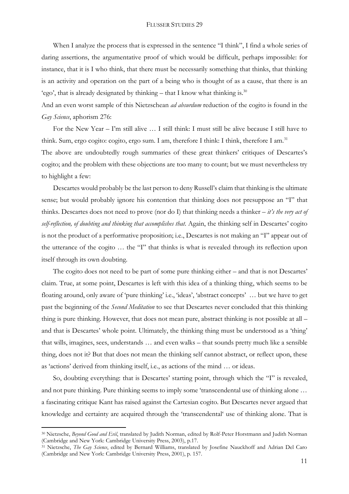When I analyze the process that is expressed in the sentence "I think", I find a whole series of daring assertions, the argumentative proof of which would be difficult, perhaps impossible: for instance, that it is I who think, that there must be necessarily something that thinks, that thinking is an activity and operation on the part of a being who is thought of as a cause, that there is an 'ego', that is already designated by thinking – that I know what thinking is. $30$ 

And an even worst sample of this Nietzschean *ad absurdum* reduction of the cogito is found in the *Gay Science*, aphorism 276:

For the New Year – I'm still alive … I still think: I must still be alive because I still have to think. Sum, ergo cogito: cogito, ergo sum. I am, therefore I think: I think, therefore I am.<sup>31</sup>

The above are undoubtedly rough summaries of these great thinkers' critiques of Descartes's cogito; and the problem with these objections are too many to count; but we must nevertheless try to highlight a few:

Descartes would probably be the last person to deny Russell's claim that thinking is the ultimate sense; but would probably ignore his contention that thinking does not presuppose an "I" that thinks. Descartes does not need to prove (nor do I) that thinking needs a thinker – *it's the very act of self-reflection, of doubting and thinking that accomplishes that*. Again, the thinking self in Descartes' cogito is not the product of a performative proposition; i.e., Descartes is not making an "I" appear out of the utterance of the cogito … the "I" that thinks is what is revealed through its reflection upon itself through its own doubting.

The cogito does not need to be part of some pure thinking either – and that is not Descartes' claim. True, at some point, Descartes is left with this idea of a thinking thing, which seems to be floating around, only aware of 'pure thinking' i.e., 'ideas', 'abstract concepts' … but we have to get past the beginning of the *Second Meditation* to see that Descartes never concluded that this thinking thing is pure thinking. However, that does not mean pure, abstract thinking is not possible at all – and that is Descartes' whole point. Ultimately, the thinking thing must be understood as a 'thing' that wills, imagines, sees, understands … and even walks – that sounds pretty much like a sensible thing, does not it? But that does not mean the thinking self cannot abstract, or reflect upon, these as 'actions' derived from thinking itself, i.e., as actions of the mind … or ideas.

So, doubting everything: that is Descartes' starting point, through which the "I" is revealed, and not pure thinking. Pure thinking seems to imply some 'transcendental use of thinking alone … a fascinating critique Kant has raised against the Cartesian cogito. But Descartes never argued that knowledge and certainty are acquired through the 'transcendental' use of thinking alone. That is

<sup>30</sup> Nietzsche, *Beyond Good and Evil*, translated by Judith Norman, edited by Rolf-Peter Horstmann and Judith Norman (Cambridge and New York: Cambridge University Press, 2003), p.17.

<sup>31</sup> Nietzsche, *The Gay Science*, edited by Bernard Williams, translated by Josefine Nauckhoff and Adrian Del Caro (Cambridge and New York: Cambridge University Press, 2001), p. 157.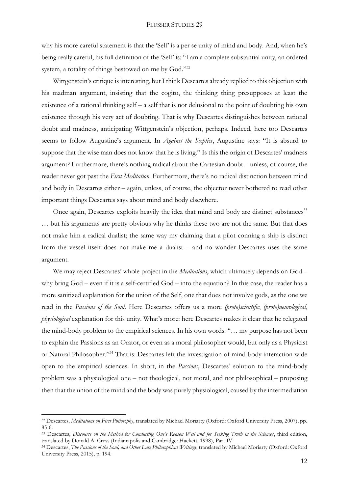why his more careful statement is that the 'Self' is a per se unity of mind and body. And, when he's being really careful, his full definition of the 'Self' is: "I am a complete substantial unity, an ordered system, a totality of things bestowed on me by God."32

Wittgenstein's critique is interesting, but I think Descartes already replied to this objection with his madman argument, insisting that the cogito, the thinking thing presupposes at least the existence of a rational thinking self – a self that is not delusional to the point of doubting his own existence through his very act of doubting. That is why Descartes distinguishes between rational doubt and madness, anticipating Wittgenstein's objection, perhaps. Indeed, here too Descartes seems to follow Augustine's argument. In *Against the Sceptics*, Augustine says: "It is absurd to suppose that the wise man does not know that he is living." Is this the origin of Descartes' madness argument? Furthermore, there's nothing radical about the Cartesian doubt – unless, of course, the reader never got past the *First Meditation*. Furthermore, there's no radical distinction between mind and body in Descartes either – again, unless, of course, the objector never bothered to read other important things Descartes says about mind and body elsewhere.

Once again, Descartes exploits heavily the idea that mind and body are distinct substances<sup>33</sup> … but his arguments are pretty obvious why he thinks these two are not the same. But that does not make him a radical dualist; the same way my claiming that a pilot conning a ship is distinct from the vessel itself does not make me a dualist – and no wonder Descartes uses the same argument.

We may reject Descartes' whole project in the *Meditations*, which ultimately depends on God – why bring God – even if it is a self-certified God – into the equation? In this case, the reader has a more sanitized explanation for the union of the Self, one that does not involve gods, as the one we read in the *Passions of the Soul*. Here Descartes offers us a more *(proto)scientific*, *(proto)neurological*, *physiological* explanation for this unity. What's more: here Descartes makes it clear that he relegated the mind-body problem to the empirical sciences. In his own words: "… my purpose has not been to explain the Passions as an Orator, or even as a moral philosopher would, but only as a Physicist or Natural Philosopher."<sup>34</sup> That is: Descartes left the investigation of mind-body interaction wide open to the empirical sciences. In short, in the *Passions*, Descartes' solution to the mind-body problem was a physiological one – not theological, not moral, and not philosophical – proposing then that the union of the mind and the body was purely physiological, caused by the intermediation

<sup>32</sup> Descartes, *Meditations on First Philosophy*, translated by Michael Moriarty (Oxford: Oxford University Press, 2007), pp. 85-6.

<sup>33</sup> Descartes, *Discourse on the Method for Conducting One's Reason Well and for Seeking Truth in the Sciences*, third edition, translated by Donald A. Cress (Indianapolis and Cambridge: Hackett, 1998), Part IV.

<sup>34</sup> Descartes, *The Passions of the Soul, and Other Late Philosophical Writings*, translated by Michael Moriarty (Oxford: Oxford University Press, 2015), p. 194.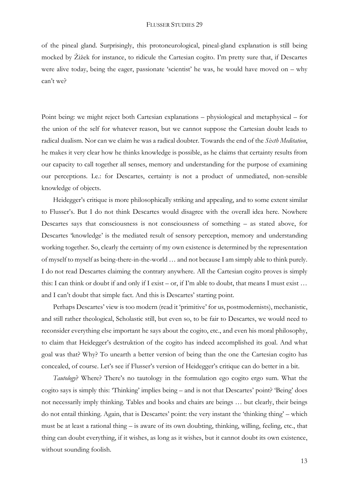of the pineal gland. Surprisingly, this protoneurological, pineal-gland explanation is still being mocked by Žižek for instance, to ridicule the Cartesian cogito. I'm pretty sure that, if Descartes were alive today, being the eager, passionate 'scientist' he was, he would have moved on – why can't we?

Point being: we might reject both Cartesian explanations – physiological and metaphysical – for the union of the self for whatever reason, but we cannot suppose the Cartesian doubt leads to radical dualism. Nor can we claim he was a radical doubter. Towards the end of the *Sixth Meditation*, he makes it very clear how he thinks knowledge is possible, as he claims that certainty results from our capacity to call together all senses, memory and understanding for the purpose of examining our perceptions. I.e.: for Descartes, certainty is not a product of unmediated, non-sensible knowledge of objects.

Heidegger's critique is more philosophically striking and appealing, and to some extent similar to Flusser's. But I do not think Descartes would disagree with the overall idea here. Nowhere Descartes says that consciousness is not consciousness of something – as stated above, for Descartes 'knowledge' is the mediated result of sensory perception, memory and understanding working together. So, clearly the certainty of my own existence is determined by the representation of myself to myself as being-there-in-the-world … and not because I am simply able to think purely. I do not read Descartes claiming the contrary anywhere. All the Cartesian cogito proves is simply this: I can think or doubt if and only if I exist – or, if I'm able to doubt, that means I must exist … and I can't doubt that simple fact. And this is Descartes' starting point.

Perhaps Descartes' view is too modern (read it 'primitive' for us, postmodernists), mechanistic, and still rather theological, Scholastic still, but even so, to be fair to Descartes, we would need to reconsider everything else important he says about the cogito, etc., and even his moral philosophy, to claim that Heidegger's destruktion of the cogito has indeed accomplished its goal. And what goal was that? Why? To unearth a better version of being than the one the Cartesian cogito has concealed, of course. Let's see if Flusser's version of Heidegger's critique can do better in a bit.

*Tautology*? Where? There's no tautology in the formulation ego cogito ergo sum. What the cogito says is simply this: 'Thinking' implies being – and is not that Descartes' point? 'Being' does not necessarily imply thinking. Tables and books and chairs are beings … but clearly, their beings do not entail thinking. Again, that is Descartes' point: the very instant the 'thinking thing' – which must be at least a rational thing – is aware of its own doubting, thinking, willing, feeling, etc., that thing can doubt everything, if it wishes, as long as it wishes, but it cannot doubt its own existence, without sounding foolish.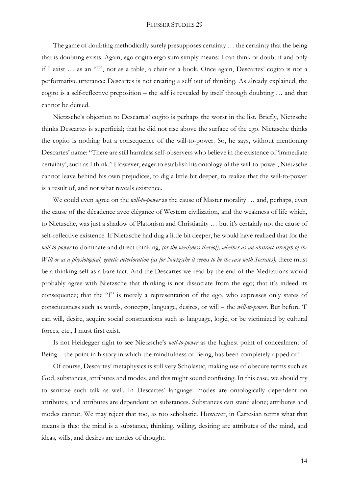The game of doubting methodically surely presupposes certainty … the certainty that the being that is doubting exists. Again, ego cogito ergo sum simply means: I can think or doubt if and only if I exist … as an "I", not as a table, a chair or a book. Once again, Descartes' cogito is not a performative utterance: Descartes is not creating a self out of thinking. As already explained, the cogito is a self-reflective preposition – the self is revealed by itself through doubting … and that cannot be denied.

Nietzsche's objection to Descartes' cogito is perhaps the worst in the list. Briefly, Nietzsche thinks Descartes is superficial; that he did not rise above the surface of the ego. Nietzsche thinks the cogito is nothing but a consequence of the will-to-power. So, he says, without mentioning Descartes' name: "There are still harmless self-observers who believe in the existence of 'immediate certainty', such as I think." However, eager to establish his ontology of the will-to-power, Nietzsche cannot leave behind his own prejudices, to dig a little bit deeper, to realize that the will-to-power is a result of, and not what reveals existence.

We could even agree on the *will-to-power* as the cause of Master morality … and, perhaps, even the cause of the décadence avec élégance of Western civilization, and the weakness of life which, to Nietzsche, was just a shadow of Platonism and Christianity … but it's certainly not the cause of self-reflective existence. If Nietzsche had dug a little bit deeper, he would have realized that for the *will-to-power* to dominate and direct thinking, *(or the weakness thereof), whether as an abstract strength of the Will or as a physiological, genetic deterioration (as for Nietzsche it seems to be the case with Socrates),* there must be a thinking self as a bare fact. And the Descartes we read by the end of the Meditations would probably agree with Nietzsche that thinking is not dissociate from the ego; that it's indeed its consequence; that the "I" is merely a representation of the ego, who expresses only states of consciousness such as words, concepts, language, desires, or will – the *will-to-power*. But before 'I' can will, desire, acquire social constructions such as language, logic, or be victimized by cultural forces, etc., I must first exist.

Is not Heidegger right to see Nietzsche's *will-to-power* as the highest point of concealment of Being – the point in history in which the mindfulness of Being, has been completely ripped off.

Of course, Descartes' metaphysics is still very Scholastic, making use of obscure terms such as God, substances, attributes and modes, and this might sound confusing. In this case, we should try to sanitize such talk as well. In Descartes' language: modes are ontologically dependent on attributes, and attributes are dependent on substances. Substances can stand alone; attributes and modes cannot. We may reject that too, as too scholastic. However, in Cartesian terms what that means is this: the mind is a substance, thinking, willing, desiring are attributes of the mind, and ideas, wills, and desires are modes of thought.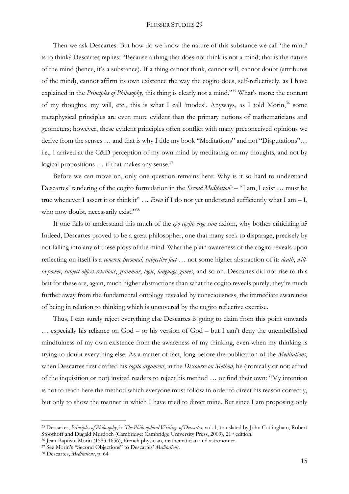Then we ask Descartes: But how do we know the nature of this substance we call 'the mind' is to think? Descartes replies: "Because a thing that does not think is not a mind; that is the nature of the mind (hence, it's a substance). If a thing cannot think, cannot will, cannot doubt (attributes of the mind), cannot affirm its own existence the way the cogito does, self-reflectively, as I have explained in the *Principles of Philosophy*, this thing is clearly not a mind."<sup>35</sup> What's more: the content of my thoughts, my will, etc., this is what I call 'modes'. Anyways, as I told Morin, $36$  some metaphysical principles are even more evident than the primary notions of mathematicians and geometers; however, these evident principles often conflict with many preconceived opinions we derive from the senses … and that is why I title my book "Meditations" and not "Disputations"… i.e., I arrived at the C&D perception of my own mind by meditating on my thoughts, and not by logical propositions ... if that makes any sense.<sup>37</sup>

Before we can move on, only one question remains here: Why is it so hard to understand Descartes' rendering of the cogito formulation in the *Second Meditation*? – "I am, I exist … must be true whenever I assert it or think it" … *Even* if I do not yet understand sufficiently what I am – I, who now doubt, necessarily exist."<sup>38</sup>

If one fails to understand this much of the *ego cogito ergo sum* axiom, why bother criticizing it? Indeed, Descartes proved to be a great philosopher, one that many seek to disparage, precisely by not falling into any of these ploys of the mind. What the plain awareness of the cogito reveals upon reflecting on itself is a *concrete personal, subjective fact* … not some higher abstraction of it: *death*, *willto-power*, *subject-object relations*, *grammar*, *logic*, *language games*, and so on. Descartes did not rise to this bait for these are, again, much higher abstractions than what the cogito reveals purely; they're much further away from the fundamental ontology revealed by consciousness, the immediate awareness of being in relation to thinking which is uncovered by the cogito reflective exercise.

Thus, I can surely reject everything else Descartes is going to claim from this point onwards … especially his reliance on God – or his version of God – but I can't deny the unembellished mindfulness of my own existence from the awareness of my thinking, even when my thinking is trying to doubt everything else. As a matter of fact, long before the publication of the *Meditations*, when Descartes first drafted his *cogito argument*, in the *Discourse on Method*, he (ironically or not; afraid of the inquisition or not) invited readers to reject his method … or find their own: "My intention is not to teach here the method which everyone must follow in order to direct his reason correctly, but only to show the manner in which I have tried to direct mine. But since I am proposing only

<u>.</u>

<sup>35</sup> Descartes, *Principles of Philosophy*, in *The Philosophical Writings of Descartes*, vol. 1, translated by John Cottingham, Robert Stoothoff and Dugald Murdoch (Cambridge: Cambridge University Press, 2009), 21<sup>st</sup> edition.

<sup>36</sup> Jean-Baptiste Morin (1583-1656), French physician, mathematician and astronomer.

<sup>37</sup> See Morin's "Second Objections" to Descartes' *Meditations*.

<sup>38</sup> Descartes, *Meditations*, p. 64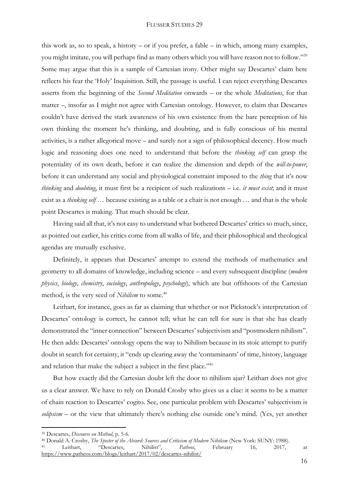this work as, so to speak, a history – or if you prefer, a fable – in which, among many examples, you might imitate, you will perhaps find as many others which you will have reason not to follow." 39 Some may argue that this is a sample of Cartesian irony. Other might say Descartes' claim here reflects his fear the 'Holy' Inquisition. Still, the passage is useful. I can reject everything Descartes asserts from the beginning of the *Second Meditation* onwards – or the whole *Meditations*, for that matter –, insofar as I might not agree with Cartesian ontology. However, to claim that Descartes couldn't have derived the stark awareness of his own existence from the bare perception of his own thinking the moment he's thinking, and doubting, and is fully conscious of his mental activities, is a rather allegorical move – and surely not a sign of philosophical decency. How much logic and reasoning does one need to understand that before the *thinking self* can grasp the potentiality of its own death, before it can realize the dimension and depth of the *will-to-power*, before it can understand any social and physiological constraint imposed to the *thing* that it's now *thinking* and *doubting*, it must first be a recipient of such realizations – i.e. *it must exist*; and it must exist as a *thinking self* … because existing as a table or a chair is not enough … and that is the whole point Descartes is making. That much should be clear.

Having said all that, it's not easy to understand what bothered Descartes' critics so much, since, as pointed out earlier, his critics come from all walks of life, and their philosophical and theological agendas are mutually exclusive.

Definitely, it appears that Descartes' attempt to extend the methods of mathematics and geometry to all domains of knowledge, including science – and every subsequent discipline (*modern physics*, *biology*, *chemistry*, *sociology*, *anthropology*, *psychology*), which are but offshoots of the Cartesian method, is the very seed of *Nihilism* to some. 40

Leithart, for instance, goes as far as claiming that whether or not Pickstock's interpretation of Descartes' ontology is correct, he cannot tell; what he can tell for sure is that she has clearly demonstrated the "inner connection" between Descartes' subjectivism and "postmodern nihilism". He then adds: Descartes' ontology opens the way to Nihilism because in its stoic attempt to purify doubt in search for certainty, it "ends up clearing away the 'contaminants' of time, history, language and relation that make the subject a subject in the first place."<sup>41</sup>

But how exactly did the Cartesian doubt left the door to nihilism ajar? Leithart does not give us a clear answer. We have to rely on Donald Crosby who gives us a clue: it seems to be a matter of chain reaction to Descartes' cogito. See, one particular problem with Descartes' subjectivism is *solipsism* – or the view that ultimately there's nothing else outside one's mind. (Yes, yet another

<sup>39</sup> Descartes, *Discourse on Method*, p. 5-6.

<sup>40</sup> Donald A. Crosby, *The Specter of the Absurd: Sources and Criticism of Modern Nihilism* (New York: SUNY: 1988).

Leithart, "Descartes, Nihilist", Patheos, February 16, 2017, at <https://www.patheos.com/blogs/leithart/2017/02/descartes-nihilist/>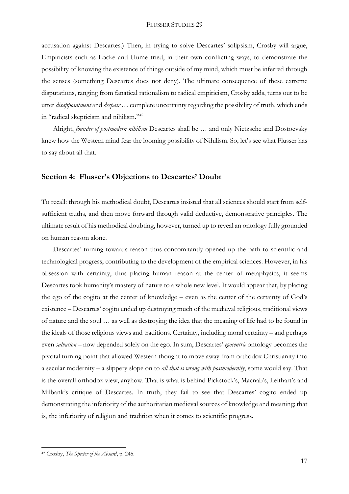accusation against Descartes.) Then, in trying to solve Descartes' solipsism, Crosby will argue, Empiricists such as Locke and Hume tried, in their own conflicting ways, to demonstrate the possibility of knowing the existence of things outside of my mind, which must be inferred through the senses (something Descartes does not deny). The ultimate consequence of these extreme disputations, ranging from fanatical rationalism to radical empiricism, Crosby adds, turns out to be utter *disappointment* and *despair* … complete uncertainty regarding the possibility of truth, which ends in "radical skepticism and nihilism."<sup>42</sup>

Alright, *founder of postmodern nihilism* Descartes shall be … and only Nietzsche and Dostoevsky knew how the Western mind fear the looming possibility of Nihilism. So, let's see what Flusser has to say about all that.

# **Section 4: Flusser's Objections to Descartes' Doubt**

To recall: through his methodical doubt, Descartes insisted that all sciences should start from selfsufficient truths, and then move forward through valid deductive, demonstrative principles. The ultimate result of his methodical doubting, however, turned up to reveal an ontology fully grounded on human reason alone.

Descartes' turning towards reason thus concomitantly opened up the path to scientific and technological progress, contributing to the development of the empirical sciences. However, in his obsession with certainty, thus placing human reason at the center of metaphysics, it seems Descartes took humanity's mastery of nature to a whole new level. It would appear that, by placing the ego of the cogito at the center of knowledge – even as the center of the certainty of God's existence – Descartes' cogito ended up destroying much of the medieval religious, traditional views of nature and the soul … as well as destroying the idea that the meaning of life had to be found in the ideals of those religious views and traditions. Certainty, including moral certainty – and perhaps even *salvation* – now depended solely on the ego. In sum, Descartes' *egocentric* ontology becomes the pivotal turning point that allowed Western thought to move away from orthodox Christianity into a secular modernity – a slippery slope on to *all that is wrong with postmodernity*, some would say. That is the overall orthodox view, anyhow. That is what is behind Pickstock's, Macnab's, Leithart's and Milbank's critique of Descartes. In truth, they fail to see that Descartes' cogito ended up demonstrating the inferiority of the authoritarian medieval sources of knowledge and meaning; that is, the inferiority of religion and tradition when it comes to scientific progress.

<sup>42</sup> Crosby, *The Specter of the Absurd*, p. 245.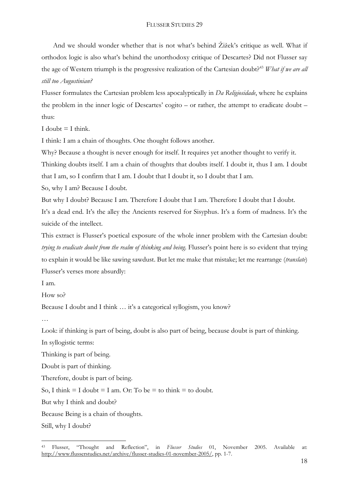And we should wonder whether that is not what's behind Žižek's critique as well. What if orthodox logic is also what's behind the unorthodoxy critique of Descartes? Did not Flusser say the age of Western triumph is the progressive realization of the Cartesian doubt?<sup>43</sup> *What if we are all still too Augustinian?*

Flusser formulates the Cartesian problem less apocalyptically in *Da Religiosidade*, where he explains the problem in the inner logic of Descartes' cogito – or rather, the attempt to eradicate doubt – thus:

 $I$  doubt  $=$   $I$  think.

I think: I am a chain of thoughts. One thought follows another.

Why? Because a thought is never enough for itself. It requires yet another thought to verify it.

Thinking doubts itself. I am a chain of thoughts that doubts itself. I doubt it, thus I am. I doubt

that I am, so I confirm that I am. I doubt that I doubt it, so I doubt that I am.

So, why I am? Because I doubt.

But why I doubt? Because I am. Therefore I doubt that I am. Therefore I doubt that I doubt.

It's a dead end. It's the alley the Ancients reserved for Sisyphus. It's a form of madness. It's the suicide of the intellect.

This extract is Flusser's poetical exposure of the whole inner problem with the Cartesian doubt: *trying to eradicate doubt from the realm of thinking and being*. Flusser's point here is so evident that trying to explain it would be like sawing sawdust. But let me make that mistake; let me rearrange (*translate*) Flusser's verses more absurdly:

I am.

How so?

Because I doubt and I think … it's a categorical syllogism, you know?

…

Look: if thinking is part of being, doubt is also part of being, because doubt is part of thinking.

In syllogistic terms:

Thinking is part of being.

Doubt is part of thinking.

Therefore, doubt is part of being.

So, I think  $= I$  doubt  $= I$  am. Or: To be  $=$  to think  $=$  to doubt.

But why I think and doubt?

Because Being is a chain of thoughts.

Still, why I doubt?

<sup>43</sup> Flusser, "Thought and Reflection", in *Flusser Studies* 01, November 2005. Available at: [http://www.flusserstudies.net/archive/flusser-studies-01-november-2005/,](http://www.flusserstudies.net/archive/flusser-studies-01-november-2005/) pp. 1-7.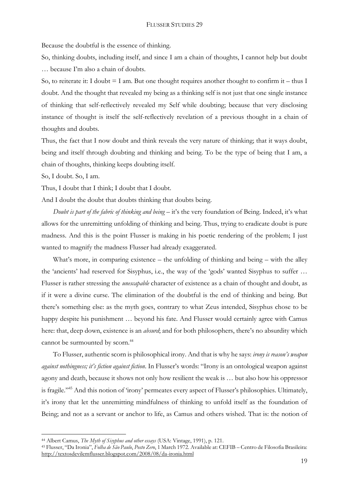Because the doubtful is the essence of thinking.

So, thinking doubts, including itself, and since I am a chain of thoughts, I cannot help but doubt … because I'm also a chain of doubts.

So, to reiterate it: I doubt  $= I$  am. But one thought requires another thought to confirm it – thus I doubt. And the thought that revealed my being as a thinking self is not just that one single instance of thinking that self-reflectively revealed my Self while doubting; because that very disclosing instance of thought is itself the self-reflectively revelation of a previous thought in a chain of thoughts and doubts.

Thus, the fact that I now doubt and think reveals the very nature of thinking; that it ways doubt, being and itself through doubting and thinking and being. To be the type of being that I am, a chain of thoughts, thinking keeps doubting itself.

So, I doubt. So, I am.

1

Thus, I doubt that I think; I doubt that I doubt.

And I doubt the doubt that doubts thinking that doubts being.

*Doubt is part of the fabric of thinking and being* – it's the very foundation of Being. Indeed, it's what allows for the unremitting unfolding of thinking and being. Thus, trying to eradicate doubt is pure madness. And this is the point Flusser is making in his poetic rendering of the problem; I just wanted to magnify the madness Flusser had already exaggerated.

What's more, in comparing existence – the unfolding of thinking and being – with the alley the 'ancients' had reserved for Sisyphus, i.e., the way of the 'gods' wanted Sisyphus to suffer … Flusser is rather stressing the *unescapable* character of existence as a chain of thought and doubt, as if it were a divine curse. The elimination of the doubtful is the end of thinking and being. But there's something else: as the myth goes, contrary to what Zeus intended, Sisyphus chose to be happy despite his punishment ... beyond his fate. And Flusser would certainly agree with Camus here: that, deep down, existence is an *absurd*; and for both philosophers, there's no absurdity which cannot be surmounted by scorn.<sup>44</sup>

To Flusser, authentic scorn is philosophical irony. And that is why he says: *irony is reason's weapon against nothingness; it's fiction against fiction*. In Flusser's words: "Irony is an ontological weapon against agony and death, because it shows not only how resilient the weak is … but also how his oppressor is fragile."<sup>45</sup> And this notion of 'irony' permeates every aspect of Flusser's philosophies. Ultimately, it's irony that let the unremitting mindfulness of thinking to unfold itself as the foundation of Being; and not as a servant or anchor to life, as Camus and others wished. That is: the notion of

<sup>44</sup> Albert Camus, *The Myth of Sisyphus and other essays* (USA: Vintage, 1991), p. 121.

<sup>45</sup> Flusser, "Da Ironia", *Folha de São Paulo*, *Posto Zero*, 1 March 1972. Available at: CEFIB – Centro de Filosofia Brasileira: <http://textosdevilemflusser.blogspot.com/2008/08/da-ironia.html>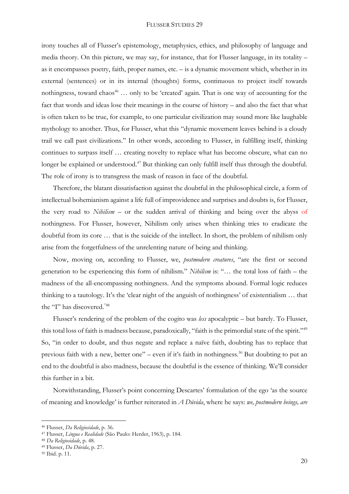irony touches all of Flusser's epistemology, metaphysics, ethics, and philosophy of language and media theory. On this picture, we may say, for instance, that for Flusser language, in its totality – as it encompasses poetry, faith, proper names, etc. – is a dynamic movement which, whether in its external (sentences) or in its internal (thoughts) forms, continuous to project itself towards nothingness, toward chaos<sup>46</sup> ... only to be 'created' again. That is one way of accounting for the fact that words and ideas lose their meanings in the course of history – and also the fact that what is often taken to be true, for example, to one particular civilization may sound more like laughable mythology to another. Thus, for Flusser, what this "dynamic movement leaves behind is a cloudy trail we call past civilizations." In other words, according to Flusser, in fulfilling itself, thinking continues to surpass itself … creating novelty to replace what has become obscure, what can no longer be explained or understood.<sup>47</sup> But thinking can only fulfill itself thus through the doubtful. The role of irony is to transgress the mask of reason in face of the doubtful.

Therefore, the blatant dissatisfaction against the doubtful in the philosophical circle, a form of intellectual bohemianism against a life full of improvidence and surprises and doubts is, for Flusser, the very road to *Nihilism* – or the sudden arrival of thinking and being over the abyss of nothingness. For Flusser, however, Nihilism only arises when thinking tries to eradicate the doubtful from its core … that is the suicide of the intellect. In short, the problem of nihilism only arise from the forgetfulness of the unrelenting nature of being and thinking.

Now, moving on, according to Flusser, we, *postmodern creatures*, "are the first or second generation to be experiencing this form of nihilism." *Nihilism* is: "… the total loss of faith – the madness of the all-encompassing nothingness. And the symptoms abound. Formal logic reduces thinking to a tautology. It's the 'clear night of the anguish of nothingness' of existentialism … that the "I" has discovered. "48

Flusser's rendering of the problem of the cogito was *less* apocalyptic – but barely. To Flusser, this total loss of faith is madness because, paradoxically, "faith is the primordial state of the spirit."<sup>49</sup> So, "in order to doubt, and thus negate and replace a naïve faith, doubting has to replace that previous faith with a new, better one" – even if it's faith in nothingness.<sup>50</sup> But doubting to put an end to the doubtful is also madness, because the doubtful is the essence of thinking. We'll consider this further in a bit.

Notwithstanding, Flusser's point concerning Descartes' formulation of the ego 'as the source of meaning and knowledge' is further reiterated in *A Dúvida*, where he says: *we, postmodern beings, are* 

<u>.</u>

<sup>46</sup> Flusser, *Da Religiosidade*, p. 36.

<sup>47</sup> Flusser, *Língua e Realidade* (São Paulo: Herder, 1963), p. 184.

<sup>48</sup> *Da Religiosidade*, p. 48.

<sup>49</sup> Flusser, *Da Dúvida*, p. 27.

<sup>50</sup> Ibid. p. 11.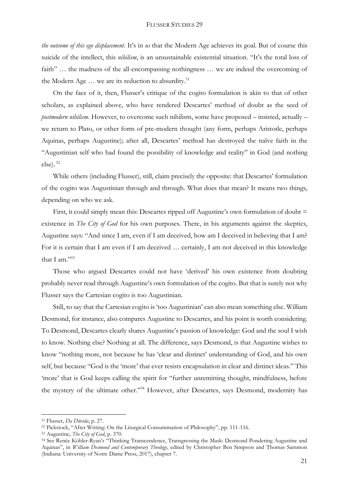*the outcome of this ego displacement*. It's in *us* that the Modern Age achieves its goal. But of course this suicide of the intellect, this *nihilism*, is an unsustainable existential situation. "It's the total loss of faith" … the madness of the all-encompassing nothingness … we are indeed the overcoming of the Modern Age  $\ldots$  we are its reduction to absurdity.<sup>51</sup>

On the face of it, then, Flusser's critique of the cogito formulation is akin to that of other scholars, as explained above, who have rendered Descartes' method of doubt as the seed of *postmodern nihilism*. However, to overcome such nihilism, some have proposed – insisted, actually – we return to Plato, or other form of pre-modern thought (any form, perhaps Aristotle, perhaps Aquinas, perhaps Augustine); after all, Descartes' method has destroyed the naïve faith in the "Augustinian self who had found the possibility of knowledge and reality" in God (and nothing else). 52

While others (including Flusser), still, claim precisely the opposite: that Descartes' formulation of the cogito was Augustinian through and through. What does that mean? It means two things, depending on who we ask.

First, it could simply mean this: Descartes ripped off Augustine's own formulation of doubt  $=$ existence in *The City of God* for his own purposes. There, in his arguments against the skeptics, Augustine says: "And since I am, even if I am deceived, how am I deceived in believing that I am? For it is certain that I am even if I am deceived … certainly, I am not deceived in this knowledge that I am."53

Those who argued Descartes could not have 'derived' his own existence from doubting probably never read through Augustine's own formulation of the cogito. But that is surely not why Flusser says the Cartesian cogito is too Augustinian.

Still, to say that the Cartesian cogito is 'too Augustinian' can also mean something else. William Desmond, for instance, also compares Augustine to Descartes, and his point is worth considering. To Desmond, Descartes clearly shares Augustine's passion of knowledge: God and the soul I wish to know. Nothing else? Nothing at all. The difference, says Desmond, is that Augustine wishes to know "nothing more, not because he has 'clear and distinct' understanding of God, and his own self, but because "God is the 'more' that ever resists encapsulation in clear and distinct ideas." This 'more' that is God keeps calling the spirit for "further unremitting thought, mindfulness, before the mystery of the ultimate other."<sup>54</sup> However, after Descartes, says Desmond, modernity has

1

<sup>53</sup> Augustine, *The City of God*, p. 370.

<sup>51</sup> Flusser, *Da Dúvida*, p. 27.

<sup>&</sup>lt;sup>52</sup> Pickstock, "After Writing: On the Liturgical Consummation of Philosophy", pp. 111-116.

<sup>54</sup> See Renée Köhler-Ryan's "Thinking Transcendence, Transgressing the Mask: Desmond Pondering Augustine and Aquinas", in *William Desmond and Contemporary Theology*, edited by Christopher Ben Simpson and Thomas Sammon (Indiana: University of Notre Dame Press, 2017), chapter 7.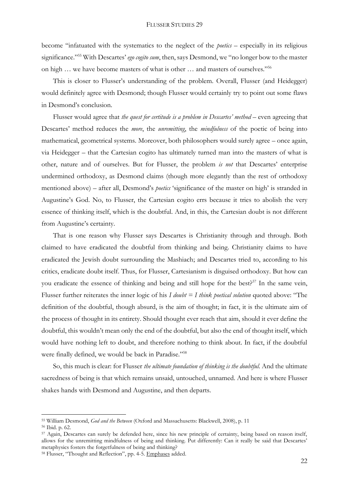become "infatuated with the systematics to the neglect of the *poetics* – especially in its religious significance."<sup>55</sup> With Descartes' *ego cogito sum*, then, says Desmond, we "no longer bow to the master on high … we have become masters of what is other … and masters of ourselves."<sup>56</sup>

This is closer to Flusser's understanding of the problem. Overall, Flusser (and Heidegger) would definitely agree with Desmond; though Flusser would certainly try to point out some flaws in Desmond's conclusion.

Flusser would agree that *the quest for certitude is a problem in Descartes' method* – even agreeing that Descartes' method reduces the *more*, the *unremitting*, the *mindfulness* of the poetic of being into mathematical, geometrical systems. Moreover, both philosophers would surely agree – once again, via Heidegger – that the Cartesian cogito has ultimately turned man into the masters of what is other, nature and of ourselves. But for Flusser, the problem *is not* that Descartes' enterprise undermined orthodoxy, as Desmond claims (though more elegantly than the rest of orthodoxy mentioned above) – after all, Desmond's *poetics* 'significance of the master on high' is stranded in Augustine's God. No, to Flusser, the Cartesian cogito errs because it tries to abolish the very essence of thinking itself, which is the doubtful. And, in this, the Cartesian doubt is not different from Augustine's certainty.

That is one reason why Flusser says Descartes is Christianity through and through. Both claimed to have eradicated the doubtful from thinking and being. Christianity claims to have eradicated the Jewish doubt surrounding the Mashiach; and Descartes tried to, according to his critics, eradicate doubt itself. Thus, for Flusser, Cartesianism is disguised orthodoxy. But how can you eradicate the essence of thinking and being and still hope for the best?<sup>57</sup> In the same vein, Flusser further reiterates the inner logic of his *I doubt = I think poetical solution* quoted above: "The definition of the doubtful, though absurd, is the aim of thought; in fact, it is the ultimate aim of the process of thought in its entirety. Should thought ever reach that aim, should it ever define the doubtful, this wouldn't mean only the end of the doubtful, but also the end of thought itself, which would have nothing left to doubt, and therefore nothing to think about. In fact, if the doubtful were finally defined, we would be back in Paradise." 58

So, this much is clear: for Flusser *the ultimate foundation of thinking is the doubtful*. And the ultimate sacredness of being is that which remains unsaid, untouched, unnamed. And here is where Flusser shakes hands with Desmond and Augustine, and then departs.

<sup>55</sup> William Desmond, *God and the Between* (Oxford and Massachusetts: Blackwell, 2008), p. 11

<sup>56</sup> Ibid. p. 62.

<sup>57</sup> Again, Descartes can surely be defended here, since his new principle of certainty, being based on reason itself, allows for the unremitting mindfulness of being and thinking. Put differently: Can it really be said that Descartes' metaphysics fosters the forgetfulness of being and thinking?

<sup>&</sup>lt;sup>58</sup> Flusser, "Thought and Reflection", pp. 4-5. Emphases added.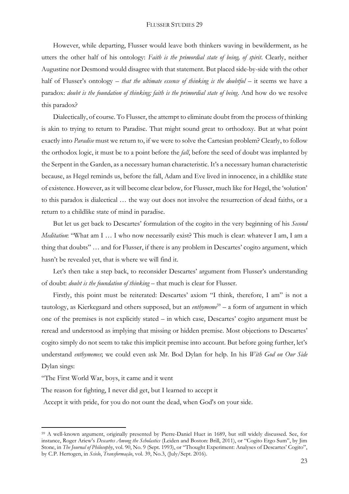However, while departing, Flusser would leave both thinkers waving in bewilderment, as he utters the other half of his ontology: *Faith is the primordial state of being, of spirit*. Clearly, neither Augustine nor Desmond would disagree with that statement. But placed side-by-side with the other half of Flusser's ontology – *that the ultimate essence of thinking is the doubtful* – it seems we have a paradox: *doubt is the foundation of thinking; faith is the primordial state of being*. And how do we resolve this paradox?

Dialectically, of course. To Flusser, the attempt to eliminate doubt from the process of thinking is akin to trying to return to Paradise. That might sound great to orthodoxy. But at what point exactly into *Paradise* must we return to, if we were to solve the Cartesian problem? Clearly, to follow the orthodox logic, it must be to a point before the *fall*, before the seed of doubt was implanted by the Serpent in the Garden, as a necessary human characteristic. It's a necessary human characteristic because, as Hegel reminds us, before the fall, Adam and Eve lived in innocence, in a childlike state of existence. However, as it will become clear below, for Flusser, much like for Hegel, the 'solution' to this paradox is dialectical … the way out does not involve the resurrection of dead faiths, or a return to a childlike state of mind in paradise.

But let us get back to Descartes' formulation of the cogito in the very beginning of his *Second Meditation*: "What am I … I who now necessarily exist? This much is clear: whatever I am, I am a thing that doubts" … and for Flusser, if there is any problem in Descartes' cogito argument, which hasn't be revealed yet, that is where we will find it.

Let's then take a step back, to reconsider Descartes' argument from Flusser's understanding of doubt: *doubt is the foundation of thinking* – that much is clear for Flusser.

Firstly, this point must be reiterated: Descartes' axiom "I think, therefore, I am" is not a tautology, as Kierkegaard and others supposed, but an *enthymeme*<sup>59</sup> - a form of argument in which one of the premises is not explicitly stated – in which case, Descartes' cogito argument must be reread and understood as implying that missing or hidden premise. Most objections to Descartes' cogito simply do not seem to take this implicit premise into account. But before going further, let's understand *enthymemes*; we could even ask Mr. Bod Dylan for help. In his *With God on Our Side* Dylan sings:

"The First World War, boys, it came and it went

1

The reason for fighting, I never did get, but I learned to accept it

Accept it with pride, for you do not ount the dead, when God's on your side.

<sup>59</sup> A well-known argument, originally presented by Pierre-Daniel Huet in 1689, but still widely discussed. See, for instance, Roger Ariew's *Descartes Among the Scholastics* (Leiden and Boston: Brill, 2011), or "Cogito Ergo Sum", by Jim Stone, in *The Journal of Philosophy*, vol. 90, No. 9 (Sept. 1993), or "Thought Experiment: Analyses of Descartes' Cogito", by C.P. Hertogen, in *Scielo*, *Transformação*, vol. 39, No.3, (July/Sept. 2016).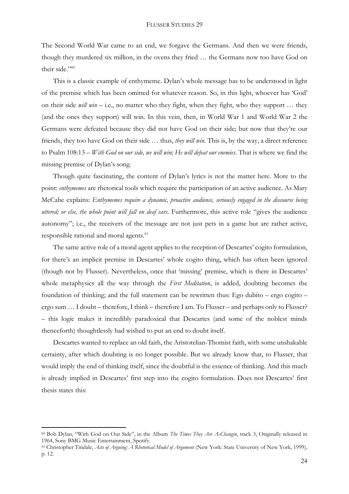The Second World War came to an end, we forgave the Germans. And then we were friends, though they murdered six million, in the ovens they fried … the Germans now too have God on their side."<sup>60</sup>

This is a classic example of enthymeme. Dylan's whole message has to be understood in light of the premise which has been omitted for whatever reason. So, in this light, whoever has 'God' on their side *will win* – i.e., no matter who they fight, when they fight, who they support … they (and the ones they support) will win. In this vein, then, in World War 1 and World War 2 the Germans were defeated because they did not have God on their side; but now that they're our friends, they too have God on their side … thus, *they will win*. This is, by the way, a direct reference to Psalm 108:13 – *With God on our side, we will win; He will defeat our enemies*. That is where we find the missing premise of Dylan's song.

Though quite fascinating, the content of Dylan's lyrics is not the matter here. More to the point: *enthymemes* are rhetorical tools which require the participation of an active audience. As Mary McCabe explains: *Enthymemes require a dynamic, proactive audience, seriously engaged in the discourse being uttered; or else, the whole point will fall on deaf ears*. Furthermore, this active role "gives the audience autonomy"; i.e., the receivers of the message are not just pets in a game but are rather active, responsible rational and moral agents.<sup>61</sup>

The same active role of a moral agent applies to the reception of Descartes' cogito formulation, for there's an implicit premise in Descartes' whole cogito thing, which has often been ignored (though not by Flusser). Nevertheless, once that 'missing' premise, which is there in Descartes' whole metaphysics all the way through the *First Meditation*, is added, doubting becomes the foundation of thinking; and the full statement can be rewritten thus: Ego dubito – ergo cogito – ergo sum … I doubt – therefore, I think – therefore I am. To Flusser – and perhaps only to Flusser? – this logic makes it incredibly paradoxical that Descartes (and some of the noblest minds thenceforth) thoughtlessly had wished to put an end to doubt itself.

Descartes wanted to replace an old faith, the Aristotelian-Thomist faith, with some unshakable certainty, after which doubting is no longer possible. But we already know that, to Flusser, that would imply the end of thinking itself, since the doubtful is the essence of thinking. And this much is already implied in Descartes' first step into the cogito formulation. Does not Descartes' first thesis states this:

<sup>60</sup> Bob Dylan, "With God on Our Side", in the Album *The Times They Are A-Changin*, track 3, Originally released in 1964, Sony BMG Music Entertainment, Spotify.

<sup>61</sup> Christopher Tindale, *Acts of Arguing: A Rhetorical Model of Argument* (New York: State University of New York, 1999), p. 12.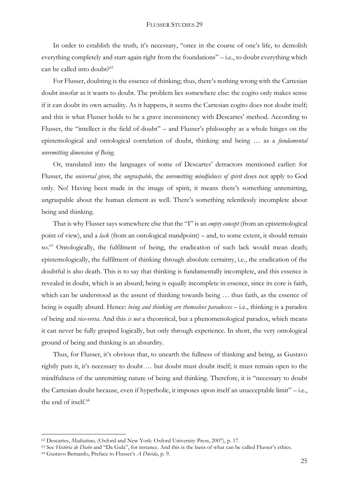In order to establish the truth, it's necessary, "once in the course of one's life, to demolish everything completely and start again right from the foundations" – i.e., to doubt everything which can be called into doubt?<sup>62</sup>

For Flusser, doubting is the essence of thinking; thus, there's nothing wrong with the Cartesian doubt insofar as it wants to doubt. The problem lies somewhere else: the cogito only makes sense if it can doubt its own actuality. As it happens, it seems the Cartesian cogito does not doubt itself; and this is what Flusser holds to be a grave inconsistency with Descartes' method. According to Flusser, the "intellect is the field of doubt" – and Flusser's philosophy as a whole hinges on the epistemological and ontological correlation of doubt, thinking and being … as a *fundamental unremitting dimension of Being*.

Or, translated into the languages of some of Descartes' detractors mentioned earlier: for Flusser, the *universal given*, the *ungraspable*, the *unremitting mindfulness of spirit* does not apply to God only. No! Having been made in the image of spirit, it means there's something unremitting, ungraspable about the human element as well. There's something relentlessly incomplete about being and thinking.

That is why Flusser says somewhere else that the "I" is an *empty concept* (from an epistemological point of view), and a *lack* (from an ontological standpoint) – and, to some extent, it should remain so.<sup>63</sup> Ontologically, the fulfilment of being, the eradication of such lack would mean death; epistemologically, the fulfilment of thinking through absolute certainty, i.e., the eradication of the doubtful is also death. This is to say that thinking is fundamentally incomplete, and this essence is revealed in doubt, which is an absurd; being is equally incomplete in essence, since its core is faith, which can be understood as the assent of thinking towards being ... thus faith, as the essence of being is equally absurd. Hence: *being and thinking are themselves paradoxes* – i.e., thinking is a paradox of being and *vice-versa*. And this *is not* a theoretical, but a phenomenological paradox, which means it can never be fully grasped logically, but only through experience. In short, the very ontological ground of being and thinking is an absurdity.

Thus, for Flusser, it's obvious that, to unearth the fullness of thinking and being, as Gustavo rightly puts it, it's necessary to doubt … but doubt must doubt itself; it must remain open to the mindfulness of the unremitting nature of being and thinking. Therefore, it is "necessary to doubt the Cartesian doubt because, even if hyperbolic, it imposes upon itself an unacceptable limit" – i.e., the end of itself.<sup>64</sup>

<sup>62</sup> Descartes, *Meditations,* (Oxford and New York: Oxford University Press, 2007), p. 17.

<sup>63</sup> See *História do Diabo* and "Da Gula", for instance. And this is the basis of what can be called Flusser's ethics.

<sup>64</sup> Gustavo Bernardo, Preface to Flusser's *A Dúvida*, p. 9.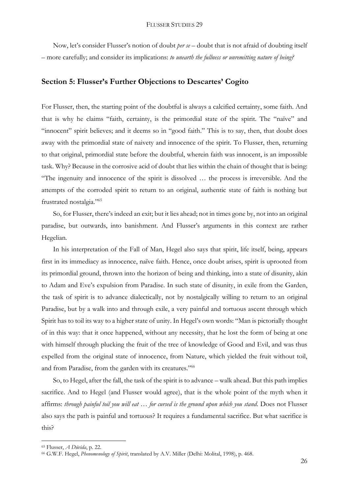Now, let's consider Flusser's notion of doubt *per se* – doubt that is not afraid of doubting itself – more carefully; and consider its implications: *to unearth the fullness or unremitting nature of being?*

# **Section 5: Flusser's Further Objections to Descartes' Cogito**

For Flusser, then, the starting point of the doubtful is always a calcified certainty, some faith. And that is why he claims "faith, certainty, is the primordial state of the spirit. The "naïve" and "innocent" spirit believes; and it deems so in "good faith." This is to say, then, that doubt does away with the primordial state of naivety and innocence of the spirit. To Flusser, then, returning to that original, primordial state before the doubtful, wherein faith was innocent, is an impossible task. Why? Because in the corrosive acid of doubt that lies within the chain of thought that is being: "The ingenuity and innocence of the spirit is dissolved … the process is irreversible. And the attempts of the corroded spirit to return to an original, authentic state of faith is nothing but frustrated nostalgia." 65

So, for Flusser, there's indeed an exit; but it lies ahead; not in times gone by, not into an original paradise, but outwards, into banishment. And Flusser's arguments in this context are rather Hegelian.

In his interpretation of the Fall of Man, Hegel also says that spirit, life itself, being, appears first in its immediacy as innocence, naïve faith. Hence, once doubt arises, spirit is uprooted from its primordial ground, thrown into the horizon of being and thinking, into a state of disunity, akin to Adam and Eve's expulsion from Paradise. In such state of disunity, in exile from the Garden, the task of spirit is to advance dialectically, not by nostalgically willing to return to an original Paradise, but by a walk into and through exile, a very painful and tortuous ascent through which Spirit has to toil its way to a higher state of unity. In Hegel's own words: "Man is pictorially thought of in this way: that it once happened, without any necessity, that he lost the form of being at one with himself through plucking the fruit of the tree of knowledge of Good and Evil, and was thus expelled from the original state of innocence, from Nature, which yielded the fruit without toil, and from Paradise, from the garden with its creatures." 66

So, to Hegel, after the fall, the task of the spirit is to advance – walk ahead. But this path implies sacrifice. And to Hegel (and Flusser would agree), that is the whole point of the myth when it affirms: *through painful toil you will eat … for cursed is the ground upon which you stand*. Does not Flusser also says the path is painful and tortuous? It requires a fundamental sacrifice. But what sacrifice is this?

<sup>65</sup> Flusser, *A Dúvida*, p. 22.

<sup>66</sup> G.W.F. Hegel, *Phenomenology of Spirit*, translated by A.V. Miller (Delhi: Molital, 1998), p. 468.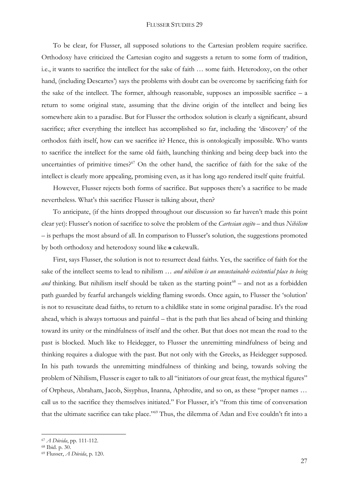To be clear, for Flusser, all supposed solutions to the Cartesian problem require sacrifice. Orthodoxy have criticized the Cartesian cogito and suggests a return to some form of tradition, i.e., it wants to sacrifice the intellect for the sake of faith … some faith. Heterodoxy, on the other hand, (including Descartes') says the problems with doubt can be overcome by sacrificing faith for the sake of the intellect. The former, although reasonable, supposes an impossible sacrifice  $- a$ return to some original state, assuming that the divine origin of the intellect and being lies somewhere akin to a paradise. But for Flusser the orthodox solution is clearly a significant, absurd sacrifice; after everything the intellect has accomplished so far, including the 'discovery' of the orthodox faith itself, how can we sacrifice it? Hence, this is ontologically impossible. Who wants to sacrifice the intellect for the same old faith, launching thinking and being deep back into the uncertainties of primitive times?<sup>67</sup> On the other hand, the sacrifice of faith for the sake of the intellect is clearly more appealing, promising even, as it has long ago rendered itself quite fruitful.

However, Flusser rejects both forms of sacrifice. But supposes there's a sacrifice to be made nevertheless. What's this sacrifice Flusser is talking about, then?

To anticipate, (if the hints dropped throughout our discussion so far haven't made this point clear yet): Flusser's notion of sacrifice to solve the problem of the *Cartesian cogito* – and thus *Nihilism* – is perhaps the most absurd of all. In comparison to Flusser's solution, the suggestions promoted by both orthodoxy and heterodoxy sound like a cakewalk.

First, says Flusser, the solution is not to resurrect dead faiths. Yes, the sacrifice of faith for the sake of the intellect seems to lead to nihilism … *and nihilism is an unsustainable existential place to being*  and thinking. But nihilism itself should be taken as the starting point<sup>68</sup> – and not as a forbidden path guarded by fearful archangels wielding flaming swords. Once again, to Flusser the 'solution' is not to resuscitate dead faiths, to return to a childlike state in some original paradise. It's the road ahead, which is always tortuous and painful – that is the path that lies ahead of being and thinking toward its unity or the mindfulness of itself and the other. But that does not mean the road to the past is blocked. Much like to Heidegger, to Flusser the unremitting mindfulness of being and thinking requires a dialogue with the past. But not only with the Greeks, as Heidegger supposed. In his path towards the unremitting mindfulness of thinking and being, towards solving the problem of Nihilism, Flusser is eager to talk to all "initiators of our great feast, the mythical figures" of Orpheus, Abraham, Jacob, Sisyphus, Inanna, Aphrodite, and so on, as these "proper names … call us to the sacrifice they themselves initiated." For Flusser, it's "from this time of conversation that the ultimate sacrifice can take place."<sup>69</sup> Thus, the dilemma of Adan and Eve couldn't fit into a

<sup>67</sup> *A Dúvida*, pp. 111-112.

<sup>68</sup> Ibid. p. 30.

<sup>69</sup> Flusser, *A Dúvida*, p. 120.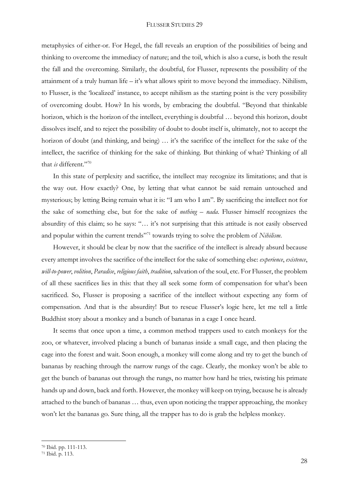metaphysics of either-or. For Hegel, the fall reveals an eruption of the possibilities of being and thinking to overcome the immediacy of nature; and the toil, which is also a curse, is both the result the fall and the overcoming. Similarly, the doubtful, for Flusser, represents the possibility of the attainment of a truly human life – it's what allows spirit to move beyond the immediacy. Nihilism, to Flusser, is the 'localized' instance, to accept nihilism as the starting point is the very possibility of overcoming doubt. How? In his words, by embracing the doubtful. "Beyond that thinkable horizon, which is the horizon of the intellect, everything is doubtful … beyond this horizon, doubt dissolves itself, and to reject the possibility of doubt to doubt itself is, ultimately, not to accept the horizon of doubt (and thinking, and being) … it's the sacrifice of the intellect for the sake of the intellect, the sacrifice of thinking for the sake of thinking. But thinking of what? Thinking of all that *is* different."<sup>70</sup>

In this state of perplexity and sacrifice, the intellect may recognize its limitations; and that is the way out. How exactly? One, by letting that what cannot be said remain untouched and mysterious; by letting Being remain what it is: "I am who I am". By sacrificing the intellect not for the sake of something else, but for the sake of *nothing* – *nada*. Flusser himself recognizes the absurdity of this claim; so he says: "… it's not surprising that this attitude is not easily observed and popular within the current trends"<sup>71</sup> towards trying to solve the problem of *Nihilism*.

However, it should be clear by now that the sacrifice of the intellect is already absurd because every attempt involves the sacrifice of the intellect for the sake of something else: *experience*, *existence*, *will-to-power*, *volition*, *Paradise*, *religious faith*, *tradition*, salvation of the soul, etc. For Flusser, the problem of all these sacrifices lies in this: that they all seek some form of compensation for what's been sacrificed. So, Flusser is proposing a sacrifice of the intellect without expecting any form of compensation. And that is the absurdity! But to rescue Flusser's logic here, let me tell a little Buddhist story about a monkey and a bunch of bananas in a cage I once heard.

It seems that once upon a time, a common method trappers used to catch monkeys for the zoo, or whatever, involved placing a bunch of bananas inside a small cage, and then placing the cage into the forest and wait. Soon enough, a monkey will come along and try to get the bunch of bananas by reaching through the narrow rungs of the cage. Clearly, the monkey won't be able to get the bunch of bananas out through the rungs, no matter how hard he tries, twisting his primate hands up and down, back and forth. However, the monkey will keep on trying, because he is already attached to the bunch of bananas … thus, even upon noticing the trapper approaching, the monkey won't let the bananas go. Sure thing, all the trapper has to do is grab the helpless monkey.

<sup>70</sup> Ibid. pp. 111-113.

<sup>71</sup> Ibid. p. 113.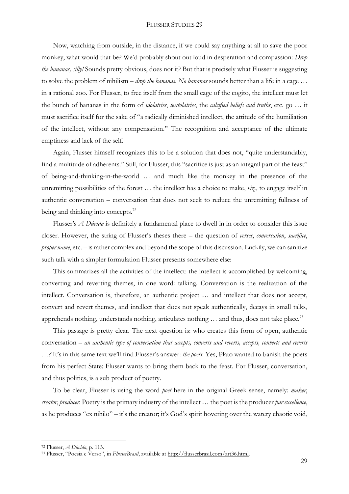Now, watching from outside, in the distance, if we could say anything at all to save the poor monkey, what would that be? We'd probably shout out loud in desperation and compassion: *Drop the bananas, silly!* Sounds pretty obvious, does not it? But that is precisely what Flusser is suggesting to solve the problem of nihilism – *drop the bananas*. *No bananas* sounds better than a life in a cage … in a rational zoo. For Flusser, to free itself from the small cage of the cogito, the intellect must let the bunch of bananas in the form of *idolatries*, *textolatries*, the *calcified beliefs and truths*, etc. go … it must sacrifice itself for the sake of "a radically diminished intellect, the attitude of the humiliation of the intellect, without any compensation." The recognition and acceptance of the ultimate emptiness and lack of the self.

Again, Flusser himself recognizes this to be a solution that does not, "quite understandably, find a multitude of adherents." Still, for Flusser, this "sacrifice is just as an integral part of the feast" of being-and-thinking-in-the-world … and much like the monkey in the presence of the unremitting possibilities of the forest … the intellect has a choice to make, *viz*., to engage itself in authentic conversation – conversation that does not seek to reduce the unremitting fullness of being and thinking into concepts.<sup>72</sup>

Flusser's *A Dúvida* is definitely a fundamental place to dwell in in order to consider this issue closer. However, the string of Flusser's theses there – the question of *verses*, *conversation*, *sacrifice*, *proper name*, etc. – is rather complex and beyond the scope of this discussion. Luckily, we can sanitize such talk with a simpler formulation Flusser presents somewhere else:

This summarizes all the activities of the intellect: the intellect is accomplished by welcoming, converting and reverting themes, in one word: talking. Conversation is the realization of the intellect. Conversation is, therefore, an authentic project … and intellect that does not accept, convert and revert themes, and intellect that does not speak authentically, decays in small talks, apprehends nothing, understands nothing, articulates nothing  $\ldots$  and thus, does not take place.<sup>73</sup>

This passage is pretty clear. The next question is: who creates this form of open, authentic conversation – *an authentic type of conversation that accepts, converts and reverts, accepts, converts and reverts …?* It's in this same text we'll find Flusser's answer: *the poets*. Yes, Plato wanted to banish the poets from his perfect State; Flusser wants to bring them back to the feast. For Flusser, conversation, and thus politics, is a sub product of poetry.

To be clear, Flusser is using the word *poet* here in the original Greek sense, namely: *maker*, *creator*, *producer*. Poetry is the primary industry of the intellect … the poet is the producer *par excellence*, as he produces "ex nihilo" – it's the creator; it's God's spirit hovering over the watery chaotic void,

<sup>72</sup> Flusser, *A Dúvida*, p. 113.

<sup>73</sup> Flusser, "Poesia e Verso", in *FlusserBrasil*, available at [http://flusserbrasil.com/art36.html.](http://flusserbrasil.com/art36.html)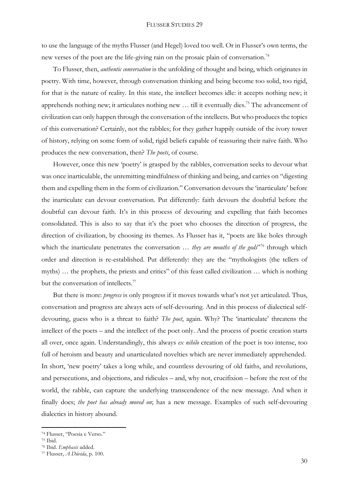to use the language of the myths Flusser (and Hegel) loved too well. Or in Flusser's own terms, the new verses of the poet are the life-giving rain on the prosaic plain of conversation.<sup>74</sup>

To Flusser, then, *authentic conversation* is the unfolding of thought and being, which originates in poetry. With time, however, through conversation thinking and being become too solid, too rigid, for that is the nature of reality. In this state, the intellect becomes idle: it accepts nothing new; it apprehends nothing new; it articulates nothing new  $\ldots$  till it eventually dies.<sup>75</sup> The advancement of civilization can only happen through the conversation of the intellects. But who produces the topics of this conversation? Certainly, not the rabbles; for they gather happily outside of the ivory tower of history, relying on some form of solid, rigid beliefs capable of reassuring their naïve faith. Who produces the new conversation, then? *The poets*, of course.

However, once this new 'poetry' is grasped by the rabbles, conversation seeks to devour what was once inarticulable, the unremitting mindfulness of thinking and being, and carries on "digesting them and expelling them in the form of civilization." Conversation devours the 'inarticulate' before the inarticulate can devour conversation. Put differently: faith devours the doubtful before the doubtful can devour faith. It's in this process of devouring and expelling that faith becomes consolidated. This is also to say that it's the poet who chooses the direction of progress, the direction of civilization, by choosing its themes. As Flusser has it, "poets are like holes through which the inarticulate penetrates the conversation ... *they are mouths of the gods*<sup>776</sup> through which order and direction is re-established. Put differently: they are the "mythologists (the tellers of myths) … the prophets, the priests and critics" of this feast called civilization … which is nothing but the conversation of intellects.<sup>77</sup>

But there is more: *progress* is only progress if it moves towards what's not yet articulated. Thus, conversation and progress are always acts of self-devouring. And in this process of dialectical selfdevouring, guess who is a threat to faith? *The poet*, again. Why? The 'inarticulate' threatens the intellect of the poets – and the intellect of the poet only. And the process of poetic creation starts all over, once again. Understandingly, this always *ex nihilo* creation of the poet is too intense, too full of heroism and beauty and unarticulated novelties which are never immediately apprehended. In short, 'new poetry' takes a long while, and countless devouring of old faiths, and revolutions, and persecutions, and objections, and ridicules – and, why not, crucifixion – before the rest of the world, the rabble, can capture the underlying transcendence of the new message. And when it finally does; *the poet has already moved on*; has a new message. Examples of such self-devouring dialectics in history abound.

<sup>74</sup> Flusser, "Poesia e Verso."

<sup>75</sup> Ibid.

<sup>76</sup> Ibid. *Emphasis* added.

<sup>77</sup> Flusser, *A Dúvida*, p. 100.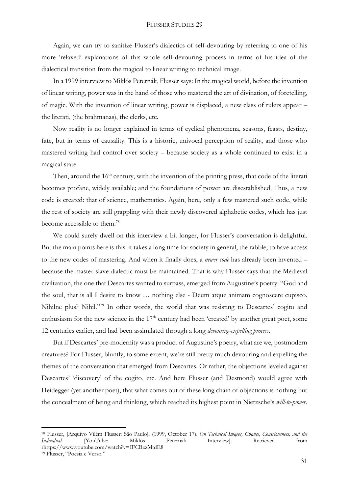Again, we can try to sanitize Flusser's dialectics of self-devouring by referring to one of his more 'relaxed' explanations of this whole self-devouring process in terms of his idea of the dialectical transition from the magical to linear writing to technical image.

In a 1999 interview to Miklós Peternák, Flusser says: In the magical world, before the invention of linear writing, power was in the hand of those who mastered the art of divination, of foretelling, of magic. With the invention of linear writing, power is displaced, a new class of rulers appear – the literati, (the brahmanas), the clerks, etc.

Now reality is no longer explained in terms of cyclical phenomena, seasons, feasts, destiny, fate, but in terms of causality. This is a historic, univocal perception of reality, and those who mastered writing had control over society – because society as a whole continued to exist in a magical state.

Then, around the 16<sup>th</sup> century, with the invention of the printing press, that code of the literati becomes profane, widely available; and the foundations of power are disestablished. Thus, a new code is created: that of science, mathematics. Again, here, only a few mastered such code, while the rest of society are still grappling with their newly discovered alphabetic codes, which has just become accessible to them.<sup>78</sup>

We could surely dwell on this interview a bit longer, for Flusser's conversation is delightful. But the main points here is this: it takes a long time for society in general, the rabble, to have access to the new codes of mastering. And when it finally does, a *newer code* has already been invented – because the master-slave dialectic must be maintained. That is why Flusser says that the Medieval civilization, the one that Descartes wanted to surpass, emerged from Augustine's poetry: "God and the soul, that is all I desire to know … nothing else - Deum atque animam cognoscere cupisco. Nihilne plus? Nihil."<sup>79</sup> In other words, the world that was resisting to Descartes' cogito and enthusiasm for the new science in the  $17<sup>th</sup>$  century had been 'created' by another great poet, some 12 centuries earlier, and had been assimilated through a long *devouring-expelling process*.

But if Descartes' pre-modernity was a product of Augustine's poetry, what are we, postmodern creatures? For Flusser, bluntly, to some extent, we're still pretty much devouring and expelling the themes of the conversation that emerged from Descartes. Or rather, the objections leveled against Descartes' 'discovery' of the cogito, etc. And here Flusser (and Desmond) would agree with Heidegger (yet another poet), that what comes out of these long chain of objections is nothing but the concealment of being and thinking, which reached its highest point in Nietzsche's *will-to-power*.

<sup>78</sup> Flusser, [Arquivo Vilém Flusser: São Paulo]. (1999, October 17). *On Technical Images, Chance, Consciousness, and the Individual*. [YouTube: Miklós Peternák Interview]. Retrieved from rhttps://www.youtube.com/watch?v=IFCBzzMtdE8

<sup>79</sup> Flusser, "Poesia e Verso."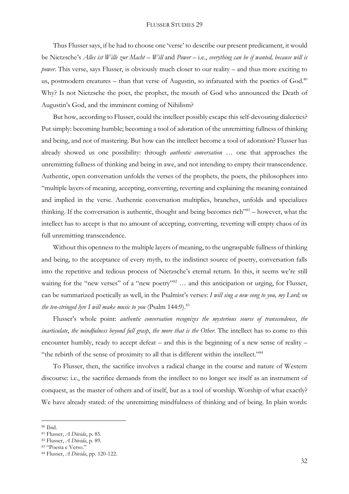Thus Flusser says, if he had to choose one 'verse' to describe our present predicament, it would be Nietzsche's *Alles ist Wille zur Macht* – *Will* and *Power* – i.e., *everything can be if wanted, because will is power*. This verse, says Flusser, is obviously much closer to our reality – and thus more exciting to us, postmodern creatures – than that verse of Augustin, so infatuated with the poetics of God.<sup>80</sup> Why? Is not Nietzsche the poet, the prophet, the mouth of God who announced the Death of Augustin's God, and the imminent coming of Nihilism?

But how, according to Flusser, could the intellect possibly escape this self-devouring dialectics? Put simply: becoming humble; becoming a tool of adoration of the unremitting fullness of thinking and being, and not of mastering. But how can the intellect become a tool of adoration? Flusser has already showed us one possibility: through *authentic conversation* … one that approaches the unremitting fullness of thinking and being in awe, and not intending to empty their transcendence. Authentic, open conversation unfolds the verses of the prophets, the poets, the philosophers into "multiple layers of meaning, accepting, converting, reverting and explaining the meaning contained and implied in the verse. Authentic conversation multiplies, branches, unfolds and specializes thinking. If the conversation is authentic, thought and being becomes rich<sup>781</sup> – however, what the intellect has to accept is that no amount of accepting, converting, reverting will empty chaos of its full unremitting transcendence.

Without this openness to the multiple layers of meaning, to the ungraspable fullness of thinking and being, to the acceptance of every myth, to the indistinct source of poetry, conversation falls into the repetitive and tedious process of Nietzsche's eternal return. In this, it seems we're still waiting for the "new verses" of a "new poetry"<sup>82</sup> ... and this anticipation or urging, for Flusser, can be summarized poetically as well, in the Psalmist's verses: *I will sing a new song to you, my Lord; on the ten-stringed lyre I will make music to you* (Psalm 144:9).<sup>83</sup>

Flusser's whole point: *authentic conversation recognizes the mysterious source of transcendence*, *the inarticulate*, *the mindfulness beyond full grasp*, *the more that is the Other*. The intellect has to come to this encounter humbly, ready to accept defeat – and this is the beginning of a new sense of reality – "the rebirth of the sense of proximity to all that is different within the intellect."<sup>84</sup>

To Flusser, then, the sacrifice involves a radical change in the course and nature of Western discourse: i.e., the sacrifice demands from the intellect to no longer see itself as an instrument of conquest, as the master of others and of itself, but as a tool of worship. Worship of what exactly? We have already stated: of the unremitting mindfulness of thinking and of being. In plain words:

<u>.</u>

<sup>80</sup> Ibid.

<sup>81</sup> Flusser, *A Dúvida*, p. 85.

<sup>82</sup> Flusser, *A Dúvida*, p. 89.

<sup>83</sup> "Poesia e Verso."

<sup>84</sup> Flusser, *A Dúvida*, pp. 120-122.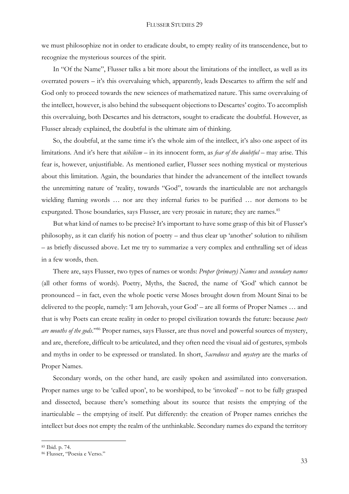we must philosophize not in order to eradicate doubt, to empty reality of its transcendence, but to recognize the mysterious sources of the spirit.

In "Of the Name", Flusser talks a bit more about the limitations of the intellect, as well as its overrated powers – it's this overvaluing which, apparently, leads Descartes to affirm the self and God only to proceed towards the new sciences of mathematized nature. This same overvaluing of the intellect, however, is also behind the subsequent objections to Descartes' cogito. To accomplish this overvaluing, both Descartes and his detractors, sought to eradicate the doubtful. However, as Flusser already explained, the doubtful is the ultimate aim of thinking.

So, the doubtful, at the same time it's the whole aim of the intellect, it's also one aspect of its limitations. And it's here that *nihilism* – in its innocent form, as *fear of the doubtful* – may arise. This fear is, however, unjustifiable. As mentioned earlier, Flusser sees nothing mystical or mysterious about this limitation. Again, the boundaries that hinder the advancement of the intellect towards the unremitting nature of 'reality, towards "God", towards the inarticulable are not archangels wielding flaming swords … nor are they infernal furies to be purified … nor demons to be expurgated. Those boundaries, says Flusser, are very prosaic in nature; they are names.<sup>85</sup>

But what kind of names to be precise? It's important to have some grasp of this bit of Flusser's philosophy, as it can clarify his notion of poetry – and thus clear up 'another' solution to nihilism – as briefly discussed above. Let me try to summarize a very complex and enthralling set of ideas in a few words, then.

There are, says Flusser, two types of names or words: *Proper (primary) Names* and *secondary names* (all other forms of words). Poetry, Myths, the Sacred, the name of 'God' which cannot be pronounced – in fact, even the whole poetic verse Moses brought down from Mount Sinai to be delivered to the people, namely: 'I am Jehovah, your God' – are all forms of Proper Names … and that is why Poets can create reality in order to propel civilization towards the future: because *poets are mouths of the gods*."<sup>86</sup> Proper names, says Flusser, are thus novel and powerful sources of mystery, and are, therefore, difficult to be articulated, and they often need the visual aid of gestures, symbols and myths in order to be expressed or translated. In short, *Sacredness* and *mystery* are the marks of Proper Names.

Secondary words, on the other hand, are easily spoken and assimilated into conversation. Proper names urge to be 'called upon', to be worshiped, to be 'invoked' – not to be fully grasped and dissected, because there's something about its source that resists the emptying of the inarticulable – the emptying of itself. Put differently: the creation of Proper names enriches the intellect but does not empty the realm of the unthinkable. Secondary names do expand the territory

<sup>85</sup> Ibid. p. 74.

<sup>86</sup> Flusser, "Poesia e Verso."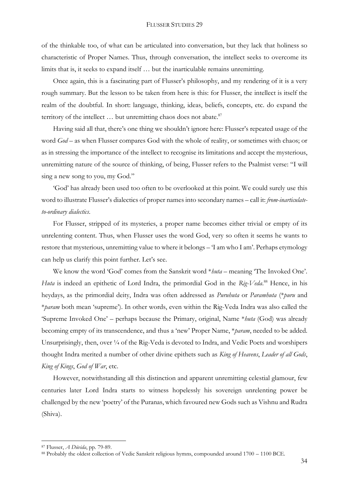of the thinkable too, of what can be articulated into conversation, but they lack that holiness so characteristic of Proper Names. Thus, through conversation, the intellect seeks to overcome its limits that is, it seeks to expand itself … but the inarticulable remains unremitting.

Once again, this is a fascinating part of Flusser's philosophy, and my rendering of it is a very rough summary. But the lesson to be taken from here is this: for Flusser, the intellect is itself the realm of the doubtful. In short: language, thinking, ideas, beliefs, concepts, etc. do expand the territory of the intellect ... but unremitting chaos does not abate.<sup>87</sup>

Having said all that, there's one thing we shouldn't ignore here: Flusser's repeated usage of the word *God* – as when Flusser compares God with the whole of reality, or sometimes with chaos; or as in stressing the importance of the intellect to recognise its limitations and accept the mysterious, unremitting nature of the source of thinking, of being, Flusser refers to the Psalmist verse: "I will sing a new song to you, my God."

'God' has already been used too often to be overlooked at this point. We could surely use this word to illustrate Flusser's dialectics of proper names into secondary names – call it: *from-inarticulateto-ordinary dialectics*.

For Flusser, stripped of its mysteries, a proper name becomes either trivial or empty of its unrelenting content. Thus, when Flusser uses the word God, very so often it seems he wants to restore that mysterious, unremitting value to where it belongs – 'I am who I am'. Perhaps etymology can help us clarify this point further. Let's see.

We know the word 'God' comes from the Sanskrit word \**huta* – meaning 'The Invoked One'. *Huta* is indeed an epithetic of Lord Indra, the primordial God in the *Rig-Veda*. <sup>88</sup> Hence, in his heydays, as the primordial deity, Indra was often addressed as *Puruhuta* or *Paramhuta* (\**puru* and \**param* both mean 'supreme'). In other words, even within the Rig-Veda Indra was also called the 'Supreme Invoked One' – perhaps because the Primary, original, Name \**huta* (God) was already becoming empty of its transcendence, and thus a 'new' Proper Name, \**param*, needed to be added. Unsurprisingly, then, over 1/4 of the Rig-Veda is devoted to Indra, and Vedic Poets and worshipers thought Indra merited a number of other divine epithets such as *King of Heavens*, *Leader of all Gods*, *King of Kings*, *God of War*, etc.

However, notwithstanding all this distinction and apparent unremitting celestial glamour, few centuries later Lord Indra starts to witness hopelessly his sovereign unrelenting power be challenged by the new 'poetry' of the Puranas, which favoured new Gods such as Vishnu and Rudra (Shiva).

<sup>87</sup> Flusser, *A Dúvida*, pp. 79-89.

<sup>88</sup> Probably the oldest collection of Vedic Sanskrit religious hymns, compounded around 1700 – 1100 BCE.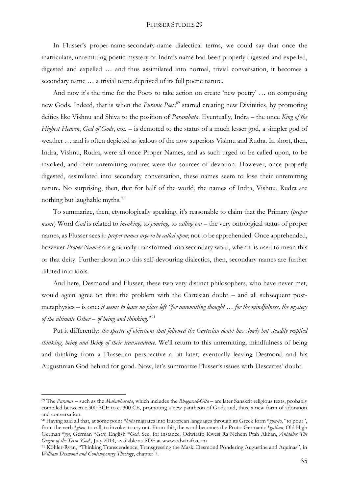In Flusser's proper-name-secondary-name dialectical terms, we could say that once the inarticulate, unremitting poetic mystery of Indra's name had been properly digested and expelled, digested and expelled … and thus assimilated into normal, trivial conversation, it becomes a secondary name ... a trivial name deprived of its full poetic nature.

And now it's the time for the Poets to take action on create 'new poetry' … on composing new Gods. Indeed, that is when the *Puranic Poets*<sup>89</sup> started creating new Divinities, by promoting deities like Vishnu and Shiva to the position of *Paramhuta*. Eventually, Indra – the once *King of the Highest Heaven*, *God of Gods*, etc. – is demoted to the status of a much lesser god, a simpler god of weather … and is often depicted as jealous of the now superiors Vishnu and Rudra. In short, then, Indra, Vishnu, Rudra, were all once Proper Names, and as such urged to be called upon, to be invoked, and their unremitting natures were the sources of devotion. However, once properly digested, assimilated into secondary conversation, these names seem to lose their unremitting nature. No surprising, then, that for half of the world, the names of Indra, Vishnu, Rudra are nothing but laughable myths.<sup>90</sup>

To summarize, then, etymologically speaking, it's reasonable to claim that the Primary (*proper name*) Word *God* is related to *invoking*, to *pouring*, to *calling out* – the very ontological status of proper names, as Flusser sees it: *proper names urge to be called upon*; not to be apprehended. Once apprehended, however *Proper Names* are gradually transformed into secondary word, when it is used to mean this or that deity. Further down into this self-devouring dialectics, then, secondary names are further diluted into idols.

And here, Desmond and Flusser, these two very distinct philosophers, who have never met, would again agree on this: the problem with the Cartesian doubt – and all subsequent postmetaphysics – is one: *it seems to leave no place left "for unremitting thought … for the mindfulness, the mystery of the ultimate Other – of being and thinking*."<sup>91</sup>

Put it differently: *the spectre of objections that followed the Cartesian doubt has slowly but steadily emptied thinking, being and Being of their transcendence*. We'll return to this unremitting, mindfulness of being and thinking from a Flusserian perspective a bit later, eventually leaving Desmond and his Augustinian God behind for good. Now, let's summarize Flusser's issues with Descartes' doubt.

<u>.</u>

<sup>89</sup> The *Purana*s – such as the *Mahabharata*, which includes the *Bhagavad-Gita* – are later Sanskrit religious texts, probably compiled between c.300 BCE to c. 300 CE, promoting a new pantheon of Gods and, thus, a new form of adoration and conversation.

<sup>90</sup> Having said all that, at some point \**huta* migrates into European languages through its Greek form \**ghu-to*, "to pour", from the verb \**gheu*, to call, to invoke, to cry out. From this, the word becomes the Proto-Germanic \**guthan*, Old High German \**got*, German \**Gott*, English \**God*. See, for instance, Odwirafo Kwesi Ra Nehem Ptah Akhan, *Anidaho: The Origin of the Term 'God'*, July 2014, available as PDF at [www.odwirafo.com](http://www.odwirafo.com/)

<sup>91</sup> Köhler-Ryan, "Thinking Transcendence, Transgressing the Mask: Desmond Pondering Augustine and Aquinas", in *William Desmond and Contemporary Theology*, chapter 7.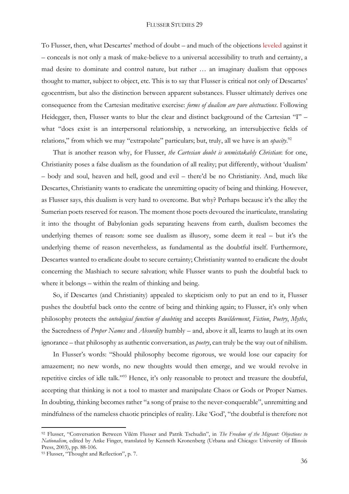To Flusser, then, what Descartes' method of doubt – and much of the objections leveled against it – conceals is not only a mask of make-believe to a universal accessibility to truth and certainty, a mad desire to dominate and control nature, but rather … an imaginary dualism that opposes thought to matter, subject to object, etc. This is to say that Flusser is critical not only of Descartes' egocentrism, but also the distinction between apparent substances. Flusser ultimately derives one consequence from the Cartesian meditative exercise: *forms of dualism are pure abstractions*. Following Heidegger, then, Flusser wants to blur the clear and distinct background of the Cartesian "I" – what "does exist is an interpersonal relationship, a networking, an intersubjective fields of relations," from which we may "extrapolate" particulars; but, truly, all we have is an *opacity*.<sup>92</sup>

That is another reason why, for Flusser, *the Cartesian doubt is unmistakably Christian*: for one, Christianity poses a false dualism as the foundation of all reality; put differently, without 'dualism' – body and soul, heaven and hell, good and evil – there'd be no Christianity. And, much like Descartes, Christianity wants to eradicate the unremitting opacity of being and thinking. However, as Flusser says, this dualism is very hard to overcome. But why? Perhaps because it's the alley the Sumerian poets reserved for reason. The moment those poets devoured the inarticulate, translating it into the thought of Babylonian gods separating heavens from earth, dualism becomes the underlying themes of reason: some see dualism as illusory, some deem it real – but it's the underlying theme of reason nevertheless, as fundamental as the doubtful itself. Furthermore, Descartes wanted to eradicate doubt to secure certainty; Christianity wanted to eradicate the doubt concerning the Mashiach to secure salvation; while Flusser wants to push the doubtful back to where it belongs – within the realm of thinking and being.

So, if Descartes (and Christianity) appealed to skepticism only to put an end to it, Flusser pushes the doubtful back onto the centre of being and thinking again; to Flusser, it's only when philosophy protects the *ontological function of doubting* and accepts *Bewilderment*, *Fiction*, *Poetry*, *Myths*, the Sacredness of *Proper Names* and *Absurdity* humbly – and, above it all, learns to laugh at its own ignorance – that philosophy as authentic conversation, as *poetry*, can truly be the way out of nihilism.

In Flusser's words: "Should philosophy become rigorous, we would lose our capacity for amazement; no new words, no new thoughts would then emerge, and we would revolve in repetitive circles of idle talk."<sup>93</sup> Hence, it's only reasonable to protect and treasure the doubtful, accepting that thinking is not a tool to master and manipulate Chaos or Gods or Proper Names. In doubting, thinking becomes rather "a song of praise to the never-conquerable", unremitting and mindfulness of the nameless chaotic principles of reality. Like 'God', "the doubtful is therefore not

<sup>92</sup> Flusser, "Conversation Between Vilém Flusser and Patrik Tschudin", in *The Freedom of the Migrant: Objections to Nationalism*, edited by Anke Finger, translated by Kenneth Kronenberg (Urbana and Chicago: University of Illinois Press, 2003), pp. 88-106.

<sup>93</sup> Flusser, "Thought and Reflection", p. 7.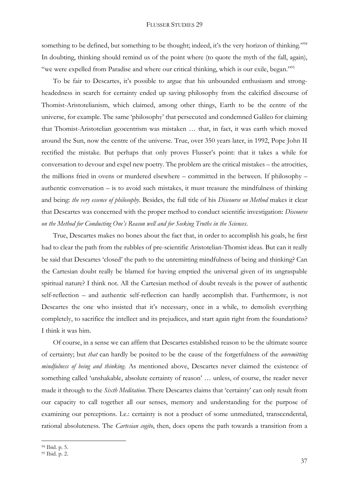something to be defined, but something to be thought; indeed, it's the very horizon of thinking."<sup>94</sup> In doubting, thinking should remind us of the point where (to quote the myth of the fall, again), "we were expelled from Paradise and where our critical thinking, which is our exile, began."<sup>95</sup>

To be fair to Descartes, it's possible to argue that his unbounded enthusiasm and strongheadedness in search for certainty ended up saving philosophy from the calcified discourse of Thomist-Aristotelianism, which claimed, among other things, Earth to be the centre of the universe, for example. The same 'philosophy' that persecuted and condemned Galileo for claiming that Thomist-Aristotelian geocentrism was mistaken … that, in fact, it was earth which moved around the Sun, now the centre of the universe. True, over 350 years later, in 1992, Pope John II rectified the mistake. But perhaps that only proves Flusser's point: that it takes a while for conversation to devour and expel new poetry. The problem are the critical mistakes – the atrocities, the millions fried in ovens or murdered elsewhere – committed in the between. If philosophy – authentic conversation – is to avoid such mistakes, it must treasure the mindfulness of thinking and being: *the very essence of philosophy*. Besides, the full title of his *Discourse on Method* makes it clear that Descartes was concerned with the proper method to conduct scientific investigation: *Discourse on the Method for Conducting One's Reason well and for Seeking Truths in the Sciences*.

True, Descartes makes no bones about the fact that, in order to accomplish his goals, he first had to clear the path from the rubbles of pre-scientific Aristotelian-Thomist ideas. But can it really be said that Descartes 'closed' the path to the unremitting mindfulness of being and thinking? Can the Cartesian doubt really be blamed for having emptied the universal given of its ungraspable spiritual nature? I think not. All the Cartesian method of doubt reveals is the power of authentic self-reflection – and authentic self-reflection can hardly accomplish that. Furthermore, is not Descartes the one who insisted that it's necessary, once in a while, to demolish everything completely, to sacrifice the intellect and its prejudices, and start again right from the foundations? I think it was him.

Of course, in a sense we can affirm that Descartes established reason to be the ultimate source of certainty; but *that* can hardly be posited to be the cause of the forgetfulness of the *unremitting mindfulness of being and thinking*. As mentioned above, Descartes never claimed the existence of something called 'unshakable, absolute certainty of reason' … unless, of course, the reader never made it through to the *Sixth Meditation*. There Descartes claims that 'certainty' can only result from our capacity to call together all our senses, memory and understanding for the purpose of examining our perceptions. I.e.: certainty is not a product of some unmediated, transcendental, rational absoluteness. The *Cartesian cogito*, then, does opens the path towards a transition from a

<sup>94</sup> Ibid. p. 5.

<sup>95</sup> Ibid. p. 2.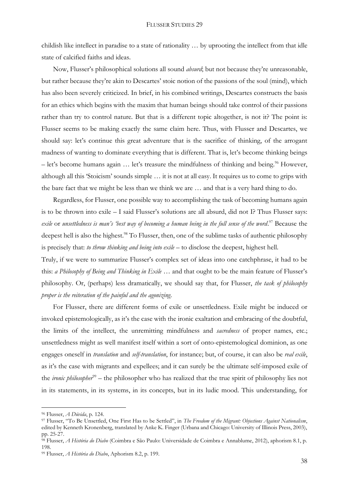childish like intellect in paradise to a state of rationality … by uprooting the intellect from that idle state of calcified faiths and ideas.

Now, Flusser's philosophical solutions all sound *absurd*; but not because they're unreasonable, but rather because they're akin to Descartes' stoic notion of the passions of the soul (mind), which has also been severely criticized. In brief, in his combined writings, Descartes constructs the basis for an ethics which begins with the maxim that human beings should take control of their passions rather than try to control nature. But that is a different topic altogether, is not it? The point is: Flusser seems to be making exactly the same claim here. Thus, with Flusser and Descartes, we should say: let's continue this great adventure that is the sacrifice of thinking, of the arrogant madness of wanting to dominate everything that is different. That is, let's become thinking beings  $-$  let's become humans again ... let's treasure the mindfulness of thinking and being.<sup>96</sup> However, although all this 'Stoicism' sounds simple … it is not at all easy. It requires us to come to grips with the bare fact that we might be less than we think we are … and that is a very hard thing to do.

Regardless, for Flusser, one possible way to accomplishing the task of becoming humans again is to be thrown into exile – I said Flusser's solutions are all absurd, did not I? Thus Flusser says: exile or *unsettledness is man's 'best way of becoming a human being in the full sense of the word.<sup>97</sup> Because the* deepest hell is also the highest.<sup>98</sup> To Flusser, then, one of the sublime tasks of authentic philosophy is precisely that: *to throw thinking and being into exile* – to disclose the deepest, highest hell.

Truly, if we were to summarize Flusser's complex set of ideas into one catchphrase, it had to be this: *a Philosophy of Being and Thinking in Exile* … and that ought to be the main feature of Flusser's philosophy. Or, (perhaps) less dramatically, we should say that, for Flusser, *the task of philosophy proper is the reiteration of the painful and the agonizing*.

For Flusser, there are different forms of exile or unsettledness. Exile might be induced or invoked epistemologically, as it's the case with the ironic exaltation and embracing of the doubtful, the limits of the intellect, the unremitting mindfulness and *sacredness* of proper names, etc.; unsettledness might as well manifest itself within a sort of onto-epistemological dominion, as one engages oneself in *translation* and *self-translation*, for instance; but, of course, it can also be *real exile*, as it's the case with migrants and expellees; and it can surely be the ultimate self-imposed exile of the *ironic philosopher*<sup>99</sup> – the philosopher who has realized that the true spirit of philosophy lies not in its statements, in its systems, in its concepts, but in its ludic mood. This understanding, for

<sup>96</sup> Flusser, *A Dúvida*, p. 124.

<sup>97</sup> Flusser, "To Be Unsettled, One First Has to be Settled", in *The Freedom of the Migrant: Objections Against Nationalism*, edited by Kenneth Kronenberg, translated by Anke K. Finger (Urbana and Chicago: University of Illinois Press, 2003), pp. 25-27.

<sup>98</sup> Flusser, *A História do Diabo* (Coimbra e São Paulo: Universidade de Coimbra e Annablume, 2012), aphorism 8.1, p. 198.

<sup>99</sup> Flusser, *A História do Diabo*, Aphorism 8.2, p. 199.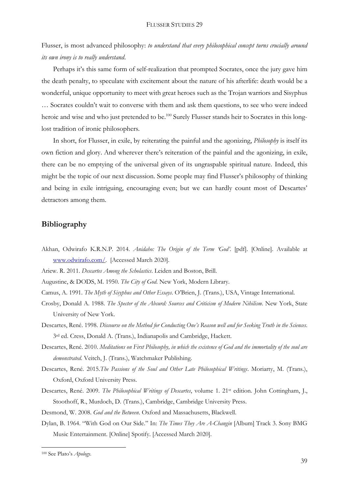Flusser, is most advanced philosophy: *to understand that every philosophical concept turns crucially around its own irony is to really understand*.

Perhaps it's this same form of self-realization that prompted Socrates, once the jury gave him the death penalty, to speculate with excitement about the nature of his afterlife: death would be a wonderful, unique opportunity to meet with great heroes such as the Trojan warriors and Sisyphus … Socrates couldn't wait to converse with them and ask them questions, to see who were indeed heroic and wise and who just pretended to be.<sup>100</sup> Surely Flusser stands heir to Socrates in this longlost tradition of ironic philosophers.

In short, for Flusser, in exile, by reiterating the painful and the agonizing, *Philosophy* is itself its own fiction and glory. And wherever there's reiteration of the painful and the agonizing, in exile, there can be no emptying of the universal given of its ungraspable spiritual nature. Indeed, this might be the topic of our next discussion. Some people may find Flusser's philosophy of thinking and being in exile intriguing, encouraging even; but we can hardly count most of Descartes' detractors among them.

# **Bibliography**

Akhan, Odwirafo K.R.N.P. 2014. *Anidaho: The Origin of the Term 'God'*. [pdf]. [Online]. Available at [www.odwirafo.com/.](http://www.odwirafo.com/) [Accessed March 2020].

Ariew. R. 2011. *Descartes Among the Scholastics*. Leiden and Boston, Brill.

Augustine, & DODS, M. 1950. *The City of God*. New York, Modern Library.

- Camus, A. 1991. *The Myth of Sisyphus and Other Essays*. O'Brien, J. (Trans.), USA, Vintage International.
- Crosby, Donald A. 1988. *The Specter of the Absurd: Sources and Criticism of Modern Nihilism*. New York, State University of New York.

Descartes, René. 1998. *Discourse on the Method for Conducting One's Reason well and for Seeking Truth in the Sciences*. 3rd ed. Cress, Donald A. (Trans.), Indianapolis and Cambridge, Hackett.

Descartes, René. 2010. *Meditations on First Philosophy, in which the existence of God and the immortality of the soul are demonstrated*. Veitch, J. (Trans.), Watchmaker Publishing.

- Descartes, René. 2015.*The Passions of the Soul and Other Late Philosophical Writings*. Moriarty, M. (Trans.), Oxford, Oxford University Press.
- Descartes, René. 2009. *The Philosophical Writings of Descartes*, volume 1. 21<sup>st</sup> edition. John Cottingham, J., Stoothoff, R., Murdoch, D. (Trans.), Cambridge, Cambridge University Press.
- Desmond, W. 2008. *God and the Between*. Oxford and Massachusetts, Blackwell.
- Dylan, B. 1964. "With God on Our Side." In: *The Times They Are A-Changin* [Album] Track 3. Sony BMG Music Entertainment. [Online] Spotify. [Accessed March 2020].

<sup>100</sup> See Plato's *Apology*.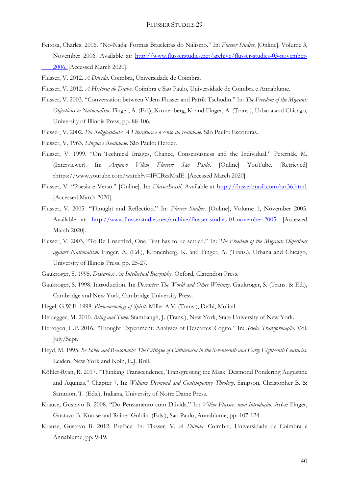- Feitosa, Charles. 2006. "No-Nada: Formas Brasileiras do Niilismo." In: *Flusser Studies*, [Online], Volume 3, November 2006. Available at: [http://www.flusserstudies.net/archive/flusser-studies-03-november-](http://www.flusserstudies.net/archive/flusser-studies-03-november-%092006)[2006.](http://www.flusserstudies.net/archive/flusser-studies-03-november-%092006) [Accessed March 2020].
- Flusser, V. 2012. *A Dúvida*. Coimbra, Universidade de Coimbra.
- Flusser, V. 2012. *A História do Diabo*. Coimbra e São Paulo, Universidade de Coimbra e Annablume.
- Flusser, V. 2003. "Conversation between Vilém Flusser and Patrik Tschudin." In: *The Freedom of the Migrant: Objections to Nationalism*. Finger, A. (Ed.), Kronenberg, K. and Finger, A. (Trans.), Urbana and Chicago, University of Illinois Press, pp. 88-106.
- Flusser, V. 2002. *Da Religiosidade: A Literatura e o senso da realidade*. São Paulo: Escrituras.
- Flusser, V. 1963. *Língua e Realidade*. São Paulo: Herder.
- Flusser, V. 1999. "On Technical Images, Chance, Consciousness and the Individual." Peternák, M*.*  (Interviewer). In: *Arquivo Vilém Flusser: São Paulo*. [Online] YouTube. [Retrieved] rhttps://www.youtube.com/watch?v=IFCBzzMtdE. [Accessed March 2020].
- Flusser, V. "Poesia e Verso." [Online]. In: *FlusserBrasil*. Available at [http://flusserbrasil.com/art36.html.](http://flusserbrasil.com/art36.html) [Accessed March 2020].
- Flusser, V. 2005. "Thought and Reflection." In: *Flusser Studies*. [Online], Volume 1, November 2005. Available at: [http://www.flusserstudies.net/archive/flusser-studies-01-november-2005.](http://www.flusserstudies.net/archive/flusser-studies-01-november-2005) [Accessed March 2020].
- Flusser, V. 2003. "To Be Unsettled, One First has to be settled." In: *The Freedom of the Migrant: Objections against Nationalism*. Finger, A. (Ed.), Kronenberg, K. and Finger, A. (Trans.), Urbana and Chicago, University of Illinois Press, pp. 25-27.
- Gaukroger, S. 1995. *Descartes: An Intellectual Biography*. Oxford, Clarendon Press.
- Gaukroger, S. 1998. Introduction. In: *Descartes: The World and Other Writings*. Gaukroger, S. (Trans. & Ed.), Cambridge and New York, Cambridge University Press.
- Hegel, G.W.F. 1998. *Phenomenology of Spirit*. Miller A.V. (Trans.), Delhi, Molital.
- Heidegger, M. 2010. *Being and Time*. Stambaugh, J. (Trans.), New York, State University of New York.
- Hertogen, C.P. 2016. "Thought Experiment: Analyses of Descartes' Cogito." In: *Scielo, Transformação*. Vol. July/Sept.
- Heyd, M. 1995. *Be Sober and Reasonable: The Critique of Enthusiasm in the Seventeenth and Early Eighteenth Centuries*. Leiden, New York and Koln, E.J. Brill.
- Köhler*-*Ryan, R. 2017. "Thinking Transcendence, Transgressing the Mask: Desmond Pondering Augustine and Aquinas." Chapter 7. In: *William Desmond and Contemporary Theology*. Simpson, Christopher B. & Sammon, T. (Eds.), Indiana, University of Notre Dame Press.
- Krause, Gustavo B. 2008. "Do Pensamento com Dúvida." In: *Vilém Flusser: uma introdução*. Anke Finger, Gustavo B. Krause and Rainer Guldin. (Eds.), Sao Paulo, Annablume, pp. 107-124.
- Krause, Gustavo B. 2012. Preface. In: Flusser, V. *A Dúvida*. Coimbra, Universidade de Coimbra e Annablume, pp. 9-19.